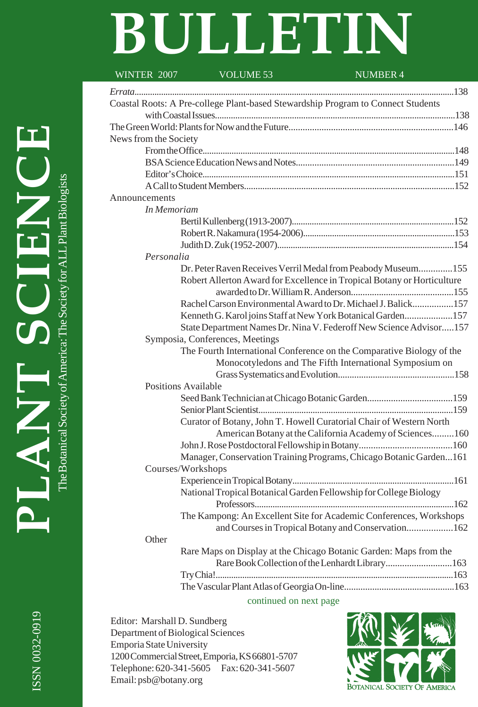# **BULLETIN**

| WINTER 2007                | VOLUME 53                                                                        | <b>NUMBER 4</b>                                                         |  |  |  |  |  |  |
|----------------------------|----------------------------------------------------------------------------------|-------------------------------------------------------------------------|--|--|--|--|--|--|
|                            |                                                                                  |                                                                         |  |  |  |  |  |  |
|                            | Coastal Roots: A Pre-college Plant-based Stewardship Program to Connect Students |                                                                         |  |  |  |  |  |  |
|                            |                                                                                  |                                                                         |  |  |  |  |  |  |
|                            |                                                                                  |                                                                         |  |  |  |  |  |  |
| News from the Society      |                                                                                  |                                                                         |  |  |  |  |  |  |
|                            |                                                                                  |                                                                         |  |  |  |  |  |  |
|                            |                                                                                  |                                                                         |  |  |  |  |  |  |
|                            |                                                                                  |                                                                         |  |  |  |  |  |  |
|                            |                                                                                  |                                                                         |  |  |  |  |  |  |
| Announcements              |                                                                                  |                                                                         |  |  |  |  |  |  |
| In Memoriam                |                                                                                  |                                                                         |  |  |  |  |  |  |
|                            |                                                                                  |                                                                         |  |  |  |  |  |  |
|                            |                                                                                  |                                                                         |  |  |  |  |  |  |
|                            |                                                                                  |                                                                         |  |  |  |  |  |  |
| Personalia                 |                                                                                  |                                                                         |  |  |  |  |  |  |
|                            |                                                                                  | Dr. Peter Raven Receives Verril Medal from Peabody Museum 155           |  |  |  |  |  |  |
|                            |                                                                                  | Robert Allerton Award for Excellence in Tropical Botany or Horticulture |  |  |  |  |  |  |
|                            |                                                                                  |                                                                         |  |  |  |  |  |  |
|                            |                                                                                  | Rachel Carson Environmental Award to Dr. Michael J. Balick157           |  |  |  |  |  |  |
|                            |                                                                                  | Kenneth G. Karol joins Staff at New York Botanical Garden157            |  |  |  |  |  |  |
|                            |                                                                                  | State Department Names Dr. Nina V. Federoff New Science Advisor157      |  |  |  |  |  |  |
|                            | Symposia, Conferences, Meetings                                                  |                                                                         |  |  |  |  |  |  |
|                            |                                                                                  | The Fourth International Conference on the Comparative Biology of the   |  |  |  |  |  |  |
|                            |                                                                                  | Monocotyledons and The Fifth International Symposium on                 |  |  |  |  |  |  |
|                            |                                                                                  |                                                                         |  |  |  |  |  |  |
| <b>Positions Available</b> |                                                                                  |                                                                         |  |  |  |  |  |  |
|                            |                                                                                  |                                                                         |  |  |  |  |  |  |
|                            |                                                                                  | Curator of Botany, John T. Howell Curatorial Chair of Western North     |  |  |  |  |  |  |
|                            |                                                                                  | American Botany at the California Academy of Sciences160                |  |  |  |  |  |  |
|                            |                                                                                  |                                                                         |  |  |  |  |  |  |
|                            |                                                                                  | Manager, Conservation Training Programs, Chicago Botanic Garden161      |  |  |  |  |  |  |
|                            | Courses/Workshops                                                                |                                                                         |  |  |  |  |  |  |
|                            |                                                                                  |                                                                         |  |  |  |  |  |  |
|                            |                                                                                  | National Tropical Botanical Garden Fellowship for College Biology       |  |  |  |  |  |  |
|                            |                                                                                  |                                                                         |  |  |  |  |  |  |
|                            |                                                                                  | The Kampong: An Excellent Site for Academic Conferences, Workshops      |  |  |  |  |  |  |
|                            |                                                                                  | and Courses in Tropical Botany and Conservation162                      |  |  |  |  |  |  |
| Other                      |                                                                                  |                                                                         |  |  |  |  |  |  |
|                            |                                                                                  | Rare Maps on Display at the Chicago Botanic Garden: Maps from the       |  |  |  |  |  |  |
|                            |                                                                                  | Rare Book Collection of the Lenhardt Library 163                        |  |  |  |  |  |  |
|                            |                                                                                  |                                                                         |  |  |  |  |  |  |
|                            |                                                                                  |                                                                         |  |  |  |  |  |  |

continued on next page

Editor: Marshall D. Sundberg Department of Biological Sciences Emporia State University 1200 Commercial Street, Emporia, KS 66801-5707 Telephone: 620-341-5605 Fax: 620-341-5607 Email: psb@botany.org

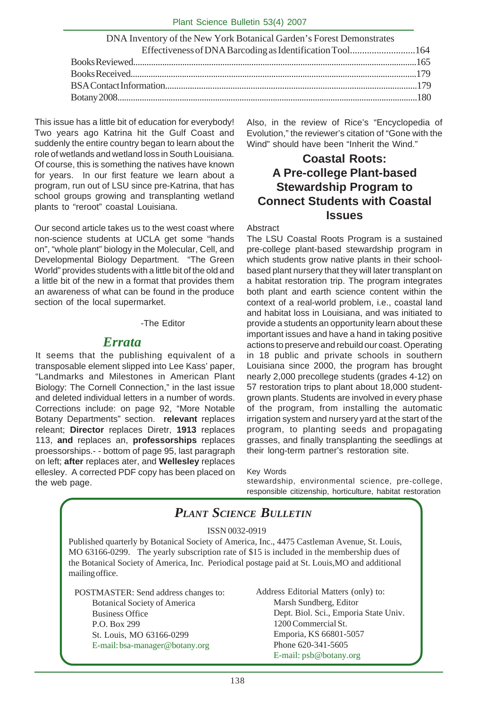| DNA Inventory of the New York Botanical Garden's Forest Demonstrates |  |
|----------------------------------------------------------------------|--|
| Effectiveness of DNA Barcoding as Identification Tool 164            |  |
|                                                                      |  |
|                                                                      |  |
|                                                                      |  |
|                                                                      |  |
|                                                                      |  |

This issue has a little bit of education for everybody! Two years ago Katrina hit the Gulf Coast and suddenly the entire country began to learn about the role of wetlands and wetland loss in South Louisiana. Of course, this is something the natives have known for years. In our first feature we learn about a program, run out of LSU since pre-Katrina, that has school groups growing and transplanting wetland plants to "reroot" coastal Louisiana.

Our second article takes us to the west coast where non-science students at UCLA get some "hands on", "whole plant" biology in the Molecular, Cell, and Developmental Biology Department. "The Green World" provides students with a little bit of the old and a little bit of the new in a format that provides them an awareness of what can be found in the produce section of the local supermarket.

### -The Editor

### *Errata*

It seems that the publishing equivalent of a transposable element slipped into Lee Kass' paper, "Landmarks and Milestones in American Plant Biology: The Cornell Connection," in the last issue and deleted individual letters in a number of words. Corrections include: on page 92, "More Notable Botany Departments" section. **relevant** replaces releant; **Director** replaces Diretr, **1913** replaces 113, **and** replaces an, **professorships** replaces proessorships.- - bottom of page 95, last paragraph on left; **after** replaces ater, and **Wellesley** replaces ellesley. A corrected PDF copy has been placed on the web page.

Also, in the review of Rice's "Encyclopedia of Evolution," the reviewer's citation of "Gone with the Wind" should have been "Inherit the Wind."

# **Coastal Roots: A Pre-college Plant-based Stewardship Program to Connect Students with Coastal Issues**

#### Abstract

The LSU Coastal Roots Program is a sustained pre-college plant-based stewardship program in which students grow native plants in their schoolbased plant nursery that they will later transplant on a habitat restoration trip. The program integrates both plant and earth science content within the context of a real-world problem, i.e., coastal land and habitat loss in Louisiana, and was initiated to provide a students an opportunity learn about these important issues and have a hand in taking positive actions to preserve and rebuild our coast. Operating in 18 public and private schools in southern Louisiana since 2000, the program has brought nearly 2,000 precollege students (grades 4-12) on 57 restoration trips to plant about 18,000 studentgrown plants. Students are involved in every phase of the program, from installing the automatic irrigation system and nursery yard at the start of the program, to planting seeds and propagating grasses, and finally transplanting the seedlings at their long-term partner's restoration site.

#### Key Words

stewardship, environmental science, pre-college, responsible citizenship, horticulture, habitat restoration

# *PLANT SCIENCE BULLETIN*

#### ISSN 0032-0919

Published quarterly by Botanical Society of America, Inc., 4475 Castleman Avenue, St. Louis, MO 63166-0299. The yearly subscription rate of \$15 is included in the membership dues of the Botanical Society of America, Inc. Periodical postage paid at St. Louis,MO and additional mailing office.

POSTMASTER: Send address changes to: Botanical Society of America Business Office P.O. Box 299 St. Louis, MO 63166-0299 E-mail: bsa-manager@botany.org

Address Editorial Matters (only) to: Marsh Sundberg, Editor Dept. Biol. Sci., Emporia State Univ. 1200 Commercial St. Emporia, KS 66801-5057 Phone 620-341-5605 E-mail: psb@botany.org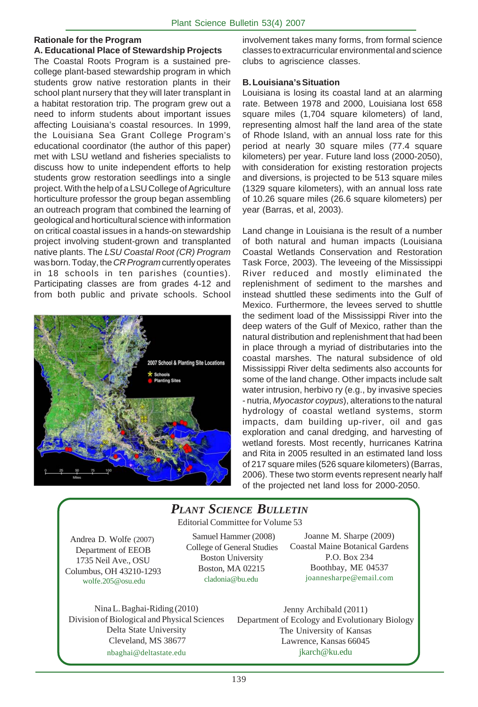### **Rationale for the Program**

### **A. Educational Place of Stewardship Projects**

The Coastal Roots Program is a sustained precollege plant-based stewardship program in which students grow native restoration plants in their school plant nursery that they will later transplant in a habitat restoration trip. The program grew out a need to inform students about important issues affecting Louisiana's coastal resources. In 1999, the Louisiana Sea Grant College Program's educational coordinator (the author of this paper) met with LSU wetland and fisheries specialists to discuss how to unite independent efforts to help students grow restoration seedlings into a single project. With the help of a LSU College of Agriculture horticulture professor the group began assembling an outreach program that combined the learning of geological and horticultural science with information on critical coastal issues in a hands-on stewardship project involving student-grown and transplanted native plants. The *LSU Coastal Root (CR) Program* was born. Today, the *CR Program* currently operates in 18 schools in ten parishes (counties). Participating classes are from grades 4-12 and from both public and private schools. School



involvement takes many forms, from formal science classes to extracurricular environmental and science clubs to agriscience classes.

### **B. Louisiana's Situation**

Louisiana is losing its coastal land at an alarming rate. Between 1978 and 2000, Louisiana lost 658 square miles (1,704 square kilometers) of land, representing almost half the land area of the state of Rhode Island, with an annual loss rate for this period at nearly 30 square miles (77.4 square kilometers) per year. Future land loss (2000-2050), with consideration for existing restoration projects and diversions, is projected to be 513 square miles (1329 square kilometers), with an annual loss rate of 10.26 square miles (26.6 square kilometers) per year (Barras, et al, 2003).

Land change in Louisiana is the result of a number of both natural and human impacts (Louisiana Coastal Wetlands Conservation and Restoration Task Force, 2003). The leveeing of the Mississippi River reduced and mostly eliminated the replenishment of sediment to the marshes and instead shuttled these sediments into the Gulf of Mexico. Furthermore, the levees served to shuttle the sediment load of the Mississippi River into the deep waters of the Gulf of Mexico, rather than the natural distribution and replenishment that had been in place through a myriad of distributaries into the coastal marshes. The natural subsidence of old Mississippi River delta sediments also accounts for some of the land change. Other impacts include salt water intrusion, herbivo ry (e.g., by invasive species - nutria, *Myocastor coypus*), alterations to the natural hydrology of coastal wetland systems, storm impacts, dam building up-river, oil and gas exploration and canal dredging, and harvesting of wetland forests. Most recently, hurricanes Katrina and Rita in 2005 resulted in an estimated land loss of 217 square miles (526 square kilometers) (Barras, 2006). These two storm events represent nearly half of the projected net land loss for 2000-2050.

# *PLANT SCIENCE BULLETIN*

Editorial Committee for Volume 53

Andrea D. Wolfe (2007) Department of EEOB 1735 Neil Ave., OSU Columbus, OH 43210-1293 wolfe.205@osu.edu

 Samuel Hammer (2008) College of General Studies Boston University Boston, MA 02215 cladonia@bu.edu

Joanne M. Sharpe (2009) Coastal Maine Botanical Gardens P.O. Box 234 Boothbay, ME 04537 joannesharpe@email.com

Nina L. Baghai-Riding (2010) Division of Biological and Physical Sciences Delta State University Cleveland, MS 38677 nbaghai@deltastate.edu

Jenny Archibald (2011) Department of Ecology and Evolutionary Biology The University of Kansas Lawrence, Kansas 66045 jkarch@ku.edu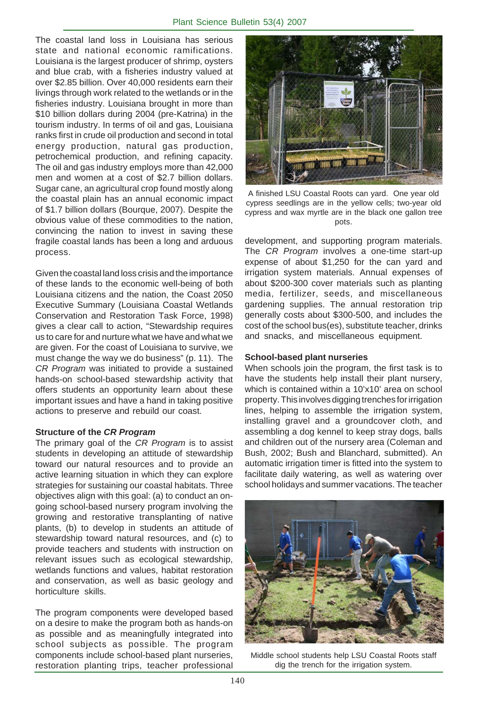The coastal land loss in Louisiana has serious state and national economic ramifications. Louisiana is the largest producer of shrimp, oysters and blue crab, with a fisheries industry valued at over \$2.85 billion. Over 40,000 residents earn their livings through work related to the wetlands or in the fisheries industry. Louisiana brought in more than \$10 billion dollars during 2004 (pre-Katrina) in the tourism industry. In terms of oil and gas, Louisiana ranks first in crude oil production and second in total energy production, natural gas production, petrochemical production, and refining capacity. The oil and gas industry employs more than 42,000 men and women at a cost of \$2.7 billion dollars. Sugar cane, an agricultural crop found mostly along the coastal plain has an annual economic impact of \$1.7 billion dollars (Bourque, 2007). Despite the obvious value of these commodities to the nation, convincing the nation to invest in saving these fragile coastal lands has been a long and arduous process.

Given the coastal land loss crisis and the importance of these lands to the economic well-being of both Louisiana citizens and the nation, the Coast 2050 Executive Summary (Louisiana Coastal Wetlands Conservation and Restoration Task Force, 1998) gives a clear call to action, "Stewardship requires us to care for and nurture what we have and what we are given. For the coast of Louisiana to survive, we must change the way we do business" (p. 11). The *CR Program* was initiated to provide a sustained hands-on school-based stewardship activity that offers students an opportunity learn about these important issues and have a hand in taking positive actions to preserve and rebuild our coast.

### **Structure of the** *CR Program*

The primary goal of the *CR Program* is to assist students in developing an attitude of stewardship toward our natural resources and to provide an active learning situation in which they can explore strategies for sustaining our coastal habitats. Three objectives align with this goal: (a) to conduct an ongoing school-based nursery program involving the growing and restorative transplanting of native plants, (b) to develop in students an attitude of stewardship toward natural resources, and (c) to provide teachers and students with instruction on relevant issues such as ecological stewardship, wetlands functions and values, habitat restoration and conservation, as well as basic geology and horticulture skills.

The program components were developed based on a desire to make the program both as hands-on as possible and as meaningfully integrated into school subjects as possible. The program components include school-based plant nurseries, restoration planting trips, teacher professional



A finished LSU Coastal Roots can yard. One year old cypress seedlings are in the yellow cells; two-year old cypress and wax myrtle are in the black one gallon tree pots.

development, and supporting program materials. The *CR Program* involves a one-time start-up expense of about \$1,250 for the can yard and irrigation system materials. Annual expenses of about \$200-300 cover materials such as planting media, fertilizer, seeds, and miscellaneous gardening supplies. The annual restoration trip generally costs about \$300-500, and includes the cost of the school bus(es), substitute teacher, drinks and snacks, and miscellaneous equipment.

### **School-based plant nurseries**

When schools join the program, the first task is to have the students help install their plant nursery, which is contained within a 10'x10' area on school property. This involves digging trenches for irrigation lines, helping to assemble the irrigation system, installing gravel and a groundcover cloth, and assembling a dog kennel to keep stray dogs, balls and children out of the nursery area (Coleman and Bush, 2002; Bush and Blanchard, submitted). An automatic irrigation timer is fitted into the system to facilitate daily watering, as well as watering over school holidays and summer vacations. The teacher



Middle school students help LSU Coastal Roots staff dig the trench for the irrigation system.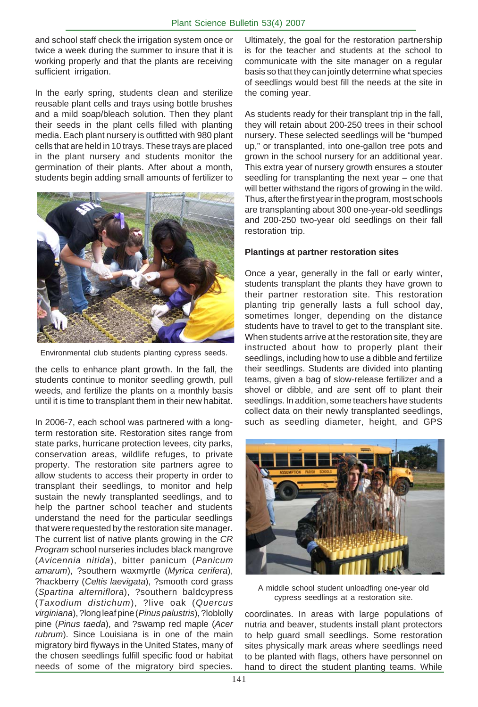and school staff check the irrigation system once or twice a week during the summer to insure that it is working properly and that the plants are receiving sufficient irrigation.

In the early spring, students clean and sterilize reusable plant cells and trays using bottle brushes and a mild soap/bleach solution. Then they plant their seeds in the plant cells filled with planting media. Each plant nursery is outfitted with 980 plant cells that are held in 10 trays. These trays are placed in the plant nursery and students monitor the germination of their plants. After about a month, students begin adding small amounts of fertilizer to



Environmental club students planting cypress seeds.

the cells to enhance plant growth. In the fall, the students continue to monitor seedling growth, pull weeds, and fertilize the plants on a monthly basis until it is time to transplant them in their new habitat.

In 2006-7, each school was partnered with a longterm restoration site. Restoration sites range from state parks, hurricane protection levees, city parks, conservation areas, wildlife refuges, to private property. The restoration site partners agree to allow students to access their property in order to transplant their seedlings, to monitor and help sustain the newly transplanted seedlings, and to help the partner school teacher and students understand the need for the particular seedlings that were requested by the restoration site manager. The current list of native plants growing in the *CR Program* school nurseries includes black mangrove (*Avicennia nitida*), bitter panicum (*Panicum amarum*), ?southern waxmyrtle (*Myrica cerifera*), ?hackberry (*Celtis laevigata*), ?smooth cord grass (*Spartina alterniflora*), ?southern baldcypress (*Taxodium distichum*), ?live oak (*Quercus virginiana*), ?long leaf pine (*Pinus palustris*), ?loblolly pine (*Pinus taeda*), and ?swamp red maple (*Acer rubrum*). Since Louisiana is in one of the main migratory bird flyways in the United States, many of the chosen seedlings fulfill specific food or habitat needs of some of the migratory bird species.

Ultimately, the goal for the restoration partnership is for the teacher and students at the school to communicate with the site manager on a regular basis so that they can jointly determine what species of seedlings would best fill the needs at the site in the coming year.

As students ready for their transplant trip in the fall, they will retain about 200-250 trees in their school nursery. These selected seedlings will be "bumped up," or transplanted, into one-gallon tree pots and grown in the school nursery for an additional year. This extra year of nursery growth ensures a stouter seedling for transplanting the next year – one that will better withstand the rigors of growing in the wild. Thus, after the first year in the program, most schools are transplanting about 300 one-year-old seedlings and 200-250 two-year old seedlings on their fall restoration trip.

### **Plantings at partner restoration sites**

Once a year, generally in the fall or early winter, students transplant the plants they have grown to their partner restoration site. This restoration planting trip generally lasts a full school day, sometimes longer, depending on the distance students have to travel to get to the transplant site. When students arrive at the restoration site, they are instructed about how to properly plant their seedlings, including how to use a dibble and fertilize their seedlings. Students are divided into planting teams, given a bag of slow-release fertilizer and a shovel or dibble, and are sent off to plant their seedlings. In addition, some teachers have students collect data on their newly transplanted seedlings, such as seedling diameter, height, and GPS



A middle school student unloadfing one-year old cypress seedlings at a restoration site.

coordinates. In areas with large populations of nutria and beaver, students install plant protectors to help guard small seedlings. Some restoration sites physically mark areas where seedlings need to be planted with flags, others have personnel on hand to direct the student planting teams. While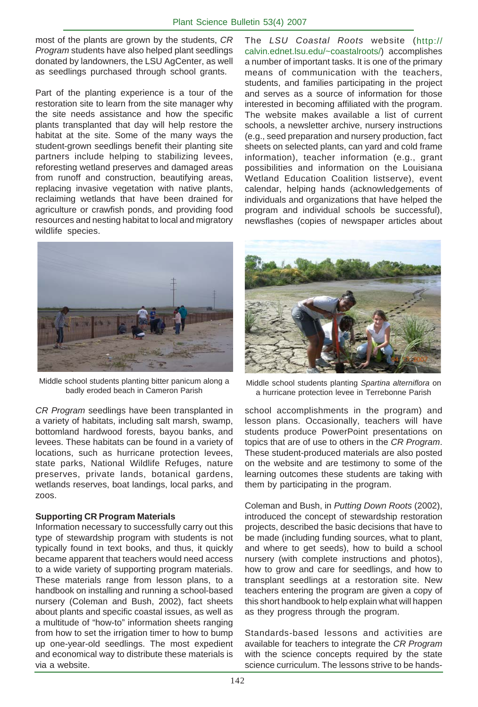most of the plants are grown by the students, *CR Program* students have also helped plant seedlings donated by landowners, the LSU AgCenter, as well as seedlings purchased through school grants.

Part of the planting experience is a tour of the restoration site to learn from the site manager why the site needs assistance and how the specific plants transplanted that day will help restore the habitat at the site. Some of the many ways the student-grown seedlings benefit their planting site partners include helping to stabilizing levees, reforesting wetland preserves and damaged areas from runoff and construction, beautifying areas, replacing invasive vegetation with native plants, reclaiming wetlands that have been drained for agriculture or crawfish ponds, and providing food resources and nesting habitat to local and migratory wildlife species.

The *LSU Coastal Roots* website (http:// calvin.ednet.lsu.edu/~coastalroots/) accomplishes a number of important tasks. It is one of the primary means of communication with the teachers, students, and families participating in the project and serves as a source of information for those interested in becoming affiliated with the program. The website makes available a list of current schools, a newsletter archive, nursery instructions (e.g., seed preparation and nursery production, fact sheets on selected plants, can yard and cold frame information), teacher information (e.g., grant possibilities and information on the Louisiana Wetland Education Coalition listserve), event calendar, helping hands (acknowledgements of individuals and organizations that have helped the program and individual schools be successful), newsflashes (copies of newspaper articles about



Middle school students planting bitter panicum along a

*CR Program* seedlings have been transplanted in a variety of habitats, including salt marsh, swamp, bottomland hardwood forests, bayou banks, and levees. These habitats can be found in a variety of locations, such as hurricane protection levees, state parks, National Wildlife Refuges, nature preserves, private lands, botanical gardens, wetlands reserves, boat landings, local parks, and zoos.

### **Supporting CR Program Materials**

Information necessary to successfully carry out this type of stewardship program with students is not typically found in text books, and thus, it quickly became apparent that teachers would need access to a wide variety of supporting program materials. These materials range from lesson plans, to a handbook on installing and running a school-based nursery (Coleman and Bush, 2002), fact sheets about plants and specific coastal issues, as well as a multitude of "how-to" information sheets ranging from how to set the irrigation timer to how to bump up one-year-old seedlings. The most expedient and economical way to distribute these materials is via a website.



school students planting bitter panicum along a<br>badly eroded beach in Cameron Parish anurricane protection levee in Terrebonne Parish a hurricane protection levee in Terrebonne Parish

school accomplishments in the program) and lesson plans. Occasionally, teachers will have students produce PowerPoint presentations on topics that are of use to others in the *CR Program*. These student-produced materials are also posted on the website and are testimony to some of the learning outcomes these students are taking with them by participating in the program.

Coleman and Bush, in *Putting Down Roots* (2002), introduced the concept of stewardship restoration projects, described the basic decisions that have to be made (including funding sources, what to plant, and where to get seeds), how to build a school nursery (with complete instructions and photos), how to grow and care for seedlings, and how to transplant seedlings at a restoration site. New teachers entering the program are given a copy of this short handbook to help explain what will happen as they progress through the program.

Standards-based lessons and activities are available for teachers to integrate the *CR Program* with the science concepts required by the state science curriculum. The lessons strive to be hands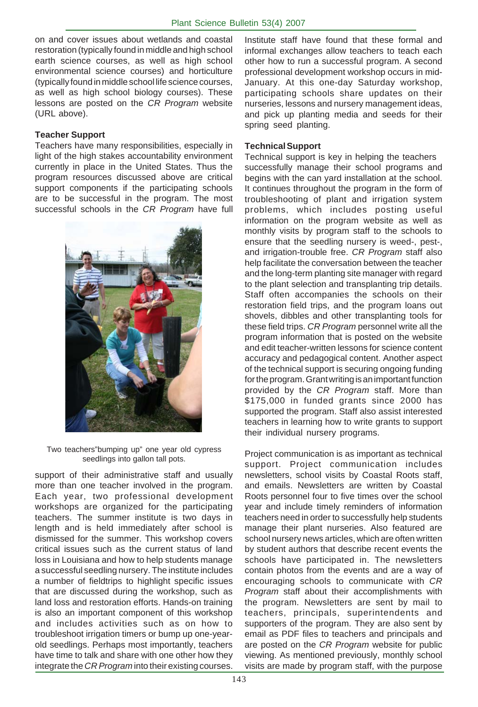on and cover issues about wetlands and coastal restoration (typically found in middle and high school earth science courses, as well as high school environmental science courses) and horticulture (typically found in middle school life science courses, as well as high school biology courses). These lessons are posted on the *CR Program* website (URL above).

### **Teacher Support**

Teachers have many responsibilities, especially in light of the high stakes accountability environment currently in place in the United States. Thus the program resources discussed above are critical support components if the participating schools are to be successful in the program. The most successful schools in the *CR Program* have full



Two teachers"bumping up" one year old cypress seedlings into gallon tall pots.

support of their administrative staff and usually more than one teacher involved in the program. Each year, two professional development workshops are organized for the participating teachers. The summer institute is two days in length and is held immediately after school is dismissed for the summer. This workshop covers critical issues such as the current status of land loss in Louisiana and how to help students manage a successful seedling nursery. The institute includes a number of fieldtrips to highlight specific issues that are discussed during the workshop, such as land loss and restoration efforts. Hands-on training is also an important component of this workshop and includes activities such as on how to troubleshoot irrigation timers or bump up one-yearold seedlings. Perhaps most importantly, teachers have time to talk and share with one other how they integrate the *CR Program* into their existing courses.

Institute staff have found that these formal and informal exchanges allow teachers to teach each other how to run a successful program. A second professional development workshop occurs in mid-January. At this one-day Saturday workshop, participating schools share updates on their nurseries, lessons and nursery management ideas, and pick up planting media and seeds for their spring seed planting.

### **Technical Support**

Technical support is key in helping the teachers successfully manage their school programs and begins with the can yard installation at the school. It continues throughout the program in the form of troubleshooting of plant and irrigation system problems, which includes posting useful information on the program website as well as monthly visits by program staff to the schools to ensure that the seedling nursery is weed-, pest-, and irrigation-trouble free. *CR Program* staff also help facilitate the conversation between the teacher and the long-term planting site manager with regard to the plant selection and transplanting trip details. Staff often accompanies the schools on their restoration field trips, and the program loans out shovels, dibbles and other transplanting tools for these field trips. *CR Program* personnel write all the program information that is posted on the website and edit teacher-written lessons for science content accuracy and pedagogical content. Another aspect of the technical support is securing ongoing funding for the program. Grant writing is an important function provided by the *CR Program* staff. More than \$175,000 in funded grants since 2000 has supported the program. Staff also assist interested teachers in learning how to write grants to support their individual nursery programs.

. year and include timely reminders of information Project communication is as important as technical support. Project communication includes newsletters, school visits by Coastal Roots staff, and emails. Newsletters are written by Coastal Roots personnel four to five times over the school teachers need in order to successfully help students manage their plant nurseries. Also featured are school nursery news articles, which are often written by student authors that describe recent events the schools have participated in. The newsletters contain photos from the events and are a way of encouraging schools to communicate with *CR Program* staff about their accomplishments with the program. Newsletters are sent by mail to teachers, principals, superintendents and supporters of the program. They are also sent by email as PDF files to teachers and principals and are posted on the *CR Program* website for public viewing. As mentioned previously, monthly school visits are made by program staff, with the purpose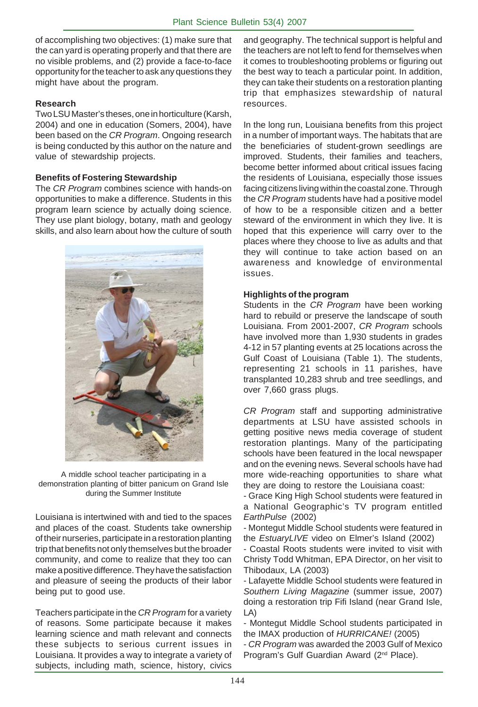of accomplishing two objectives: (1) make sure that the can yard is operating properly and that there are no visible problems, and (2) provide a face-to-face opportunity for the teacher to ask any questions they might have about the program.

### **Research**

Two LSU Master's theses, one in horticulture (Karsh, 2004) and one in education (Somers, 2004), have been based on the *CR Program*. Ongoing research is being conducted by this author on the nature and value of stewardship projects.

### **Benefits of Fostering Stewardship**

The *CR Program* combines science with hands-on opportunities to make a difference. Students in this program learn science by actually doing science. They use plant biology, botany, math and geology skills, and also learn about how the culture of south



A middle school teacher participating in a demonstration planting of bitter panicum on Grand Isle during the Summer Institute

Louisiana is intertwined with and tied to the spaces and places of the coast. Students take ownership of their nurseries, participate in a restoration planting trip that benefits not only themselves but the broader community, and come to realize that they too can make a positive difference. They have the satisfaction and pleasure of seeing the products of their labor being put to good use.

Teachers participate in the *CR Program* for a variety of reasons. Some participate because it makes learning science and math relevant and connects these subjects to serious current issues in Louisiana. It provides a way to integrate a variety of subjects, including math, science, history, civics

and geography. The technical support is helpful and the teachers are not left to fend for themselves when it comes to troubleshooting problems or figuring out the best way to teach a particular point. In addition, they can take their students on a restoration planting trip that emphasizes stewardship of natural resources.

In the long run, Louisiana benefits from this project in a number of important ways. The habitats that are the beneficiaries of student-grown seedlings are improved. Students, their families and teachers, become better informed about critical issues facing the residents of Louisiana, especially those issues facing citizens living within the coastal zone. Through the *CR Program* students have had a positive model of how to be a responsible citizen and a better steward of the environment in which they live. It is hoped that this experience will carry over to the places where they choose to live as adults and that they will continue to take action based on an awareness and knowledge of environmental issues.

### **Highlights of the program**

Students in the *CR Program* have been working hard to rebuild or preserve the landscape of south Louisiana. From 2001-2007, *CR Program* schools have involved more than 1,930 students in grades 4-12 in 57 planting events at 25 locations across the Gulf Coast of Louisiana (Table 1). The students, representing 21 schools in 11 parishes, have transplanted 10,283 shrub and tree seedlings, and over 7,660 grass plugs.

*CR Program* staff and supporting administrative departments at LSU have assisted schools in getting positive news media coverage of student restoration plantings. Many of the participating schools have been featured in the local newspaper and on the evening news. Several schools have had more wide-reaching opportunities to share what they are doing to restore the Louisiana coast:

- Grace King High School students were featured in a National Geographic's TV program entitled *EarthPulse* (2002)

Montegut Middle School students were featured in the *EstuaryLIVE* video on Elmer's Island (2002)

- Coastal Roots students were invited to visit with Christy Todd Whitman, EPA Director, on her visit to Thibodaux, LA (2003)

- Lafayette Middle School students were featured in *Southern Living Magazine* (summer issue, 2007) doing a restoration trip Fifi Island (near Grand Isle, LA)

- Montegut Middle School students participated in the IMAX production of *HURRICANE!* (2005)

- *CR Program* was awarded the 2003 Gulf of Mexico Program's Gulf Guardian Award (2<sup>nd</sup> Place).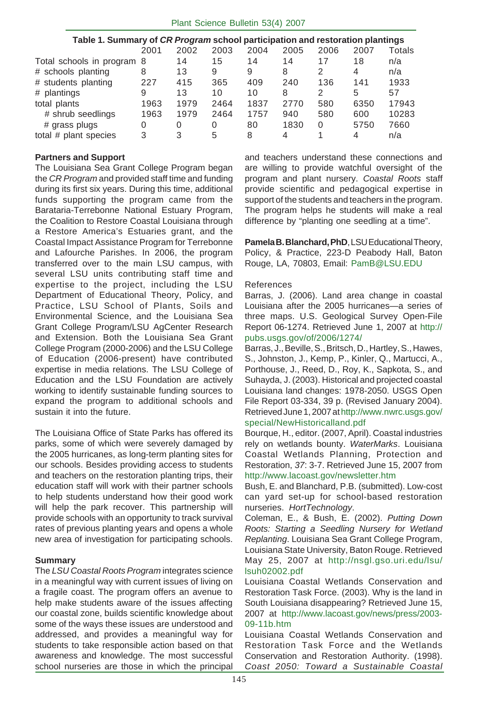| Table 1. Summary of CR Program school participation and restoration plantings |      |      |      |      |      |      |      |        |  |  |
|-------------------------------------------------------------------------------|------|------|------|------|------|------|------|--------|--|--|
|                                                                               | 2001 | 2002 | 2003 | 2004 | 2005 | 2006 | 2007 | Totals |  |  |
| Total schools in program 8                                                    |      | 14   | 15   | 14   | 14   | 17   | 18   | n/a    |  |  |
| # schools planting                                                            | 8    | 13   | 9    | 9    | 8    |      | 4    | n/a    |  |  |
| # students planting                                                           | 227  | 415  | 365  | 409  | 240  | 136  | 141  | 1933   |  |  |
| # plantings                                                                   | 9    | 13   | 10   | 10   | 8    | 2    | 5    | 57     |  |  |
| total plants                                                                  | 1963 | 1979 | 2464 | 1837 | 2770 | 580  | 6350 | 17943  |  |  |
| # shrub seedlings                                                             | 1963 | 1979 | 2464 | 1757 | 940  | 580  | 600  | 10283  |  |  |
| # grass plugs                                                                 | 0    | 0    | 0    | 80   | 1830 | 0    | 5750 | 7660   |  |  |
| total # plant species                                                         | 3    | 3    | 5    | 8    | 4    |      | 4    | n/a    |  |  |

### **Partners and Support**

The Louisiana Sea Grant College Program began the *CR Program* and provided staff time and funding during its first six years. During this time, additional funds supporting the program came from the Barataria-Terrebonne National Estuary Program, the Coalition to Restore Coastal Louisiana through a Restore America's Estuaries grant, and the Coastal Impact Assistance Program for Terrebonne and Lafourche Parishes. In 2006, the program transferred over to the main LSU campus, with several LSU units contributing staff time and expertise to the project, including the LSU Department of Educational Theory, Policy, and Practice, LSU School of Plants, Soils and Environmental Science, and the Louisiana Sea Grant College Program/LSU AgCenter Research and Extension. Both the Louisiana Sea Grant College Program (2000-2006) and the LSU College of Education (2006-present) have contributed expertise in media relations. The LSU College of Education and the LSU Foundation are actively working to identify sustainable funding sources to expand the program to additional schools and sustain it into the future.

The Louisiana Office of State Parks has offered its parks, some of which were severely damaged by the 2005 hurricanes, as long-term planting sites for our schools. Besides providing access to students and teachers on the restoration planting trips, their education staff will work with their partner schools to help students understand how their good work will help the park recover. This partnership will provide schools with an opportunity to track survival rates of previous planting years and opens a whole new area of investigation for participating schools.

### **Summary**

The *LSU Coastal Roots Program* integrates science in a meaningful way with current issues of living on a fragile coast. The program offers an avenue to help make students aware of the issues affecting our coastal zone, builds scientific knowledge about some of the ways these issues are understood and addressed, and provides a meaningful way for students to take responsible action based on that awareness and knowledge. The most successful school nurseries are those in which the principal

and teachers understand these connections and are willing to provide watchful oversight of the program and plant nursery. *Coastal Roots* staff provide scientific and pedagogical expertise in support of the students and teachers in the program. The program helps he students will make a real difference by "planting one seedling at a time".

**Pamela B. Blanchard, PhD**, LSU Educational Theory, Policy, & Practice, 223-D Peabody Hall, Baton Rouge, LA, 70803, Email: PamB@LSU.EDU

### References

Barras, J. (2006). Land area change in coastal Louisiana after the 2005 hurricanes—a series of three maps. U.S. Geological Survey Open-File Report 06-1274. Retrieved June 1, 2007 at http:// pubs.usgs.gov/of/2006/1274/

Barras, J., Beville, S., Britsch, D., Hartley, S., Hawes, S., Johnston, J., Kemp, P., Kinler, Q., Martucci, A., Porthouse, J., Reed, D., Roy, K., Sapkota, S., and Suhayda, J. (2003). Historical and projected coastal Louisiana land changes: 1978-2050. USGS Open File Report 03-334, 39 p. (Revised January 2004). Retrieved June 1, 2007 at http://www.nwrc.usgs.gov/ special/NewHistoricalland.pdf

Bourque, H., editor. (2007, April). Coastal industries rely on wetlands bounty. *WaterMarks*. Louisiana Coastal Wetlands Planning, Protection and Restoration, *37*: 3-7. Retrieved June 15, 2007 from http://www.lacoast.gov/newsletter.htm

Bush, E. and Blanchard, P.B. (submitted). Low-cost can yard set-up for school-based restoration nurseries. *HortTechnology*.

Coleman, E., & Bush, E. (2002). *Putting Down Roots: Starting a Seedling Nursery for Wetland Replanting*. Louisiana Sea Grant College Program, Louisiana State University, Baton Rouge. Retrieved May 25, 2007 at http://nsgl.gso.uri.edu/lsu/ lsuh02002.pdf

Louisiana Coastal Wetlands Conservation and Restoration Task Force. (2003). Why is the land in South Louisiana disappearing? Retrieved June 15, 2007 at http://www.lacoast.gov/news/press/2003- 09-11b.htm

Louisiana Coastal Wetlands Conservation and Restoration Task Force and the Wetlands Conservation and Restoration Authority. (1998). *Coast 2050: Toward a Sustainable Coastal*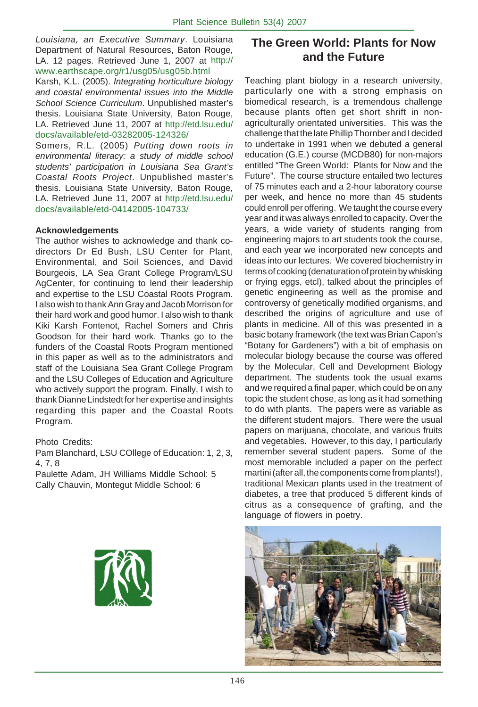*Louisiana, an Executive Summary*. Louisiana Department of Natural Resources, Baton Rouge, LA. 12 pages. Retrieved June 1, 2007 at http:// www.earthscape.org/r1/usg05/usg05b.html

Karsh, K.L. (2005). *Integrating horticulture biology and coastal environmental issues into the Middle School Science Curriculum*. Unpublished master's thesis. Louisiana State University, Baton Rouge, LA. Retrieved June 11, 2007 at http://etd.lsu.edu/ docs/available/etd-03282005-124326/

Somers, R.L. (2005) *Putting down roots in environmental literacy: a study of middle school students' participation in Louisiana Sea Grant's Coastal Roots Project*. Unpublished master's thesis. Louisiana State University, Baton Rouge, LA. Retrieved June 11, 2007 at http://etd.lsu.edu/ docs/available/etd-04142005-104733/

### **Acknowledgements**

The author wishes to acknowledge and thank codirectors Dr Ed Bush, LSU Center for Plant, Environmental, and Soil Sciences, and David Bourgeois, LA Sea Grant College Program/LSU AgCenter, for continuing to lend their leadership and expertise to the LSU Coastal Roots Program. I also wish to thank Ann Gray and Jacob Morrison for their hard work and good humor. I also wish to thank Kiki Karsh Fontenot, Rachel Somers and Chris Goodson for their hard work. Thanks go to the funders of the Coastal Roots Program mentioned in this paper as well as to the administrators and staff of the Louisiana Sea Grant College Program and the LSU Colleges of Education and Agriculture who actively support the program. Finally, I wish to thank Dianne Lindstedt for her expertise and insights regarding this paper and the Coastal Roots Program.

### Photo Credits:

Pam Blanchard, LSU COllege of Education: 1, 2, 3, 4, 7, 8

Paulette Adam, JH Williams Middle School: 5 Cally Chauvin, Montegut Middle School: 6



### **The Green World: Plants for Now and the Future**

Teaching plant biology in a research university, particularly one with a strong emphasis on biomedical research, is a tremendous challenge because plants often get short shrift in nonagriculturally orientated universities. This was the challenge that the late Phillip Thornber and I decided to undertake in 1991 when we debuted a general education (G.E.) course (MCDB80) for non-majors entitled "The Green World: Plants for Now and the Future". The course structure entailed two lectures of 75 minutes each and a 2-hour laboratory course per week, and hence no more than 45 students could enroll per offering. We taught the course every year and it was always enrolled to capacity. Over the years, a wide variety of students ranging from engineering majors to art students took the course, and each year we incorporated new concepts and ideas into our lectures. We covered biochemistry in terms of cooking (denaturation of protein by whisking or frying eggs, etcl), talked about the principles of genetic engineering as well as the promise and controversy of genetically modified organisms, and described the origins of agriculture and use of plants in medicine. All of this was presented in a basic botany framework (the text was Brian Capon's "Botany for Gardeners") with a bit of emphasis on molecular biology because the course was offered by the Molecular, Cell and Development Biology department. The students took the usual exams and we required a final paper, which could be on any topic the student chose, as long as it had something to do with plants. The papers were as variable as the different student majors. There were the usual papers on marijuana, chocolate, and various fruits and vegetables. However, to this day, I particularly remember several student papers. Some of the most memorable included a paper on the perfect martini (after all, the components come from plants!), traditional Mexican plants used in the treatment of diabetes, a tree that produced 5 different kinds of citrus as a consequence of grafting, and the language of flowers in poetry.

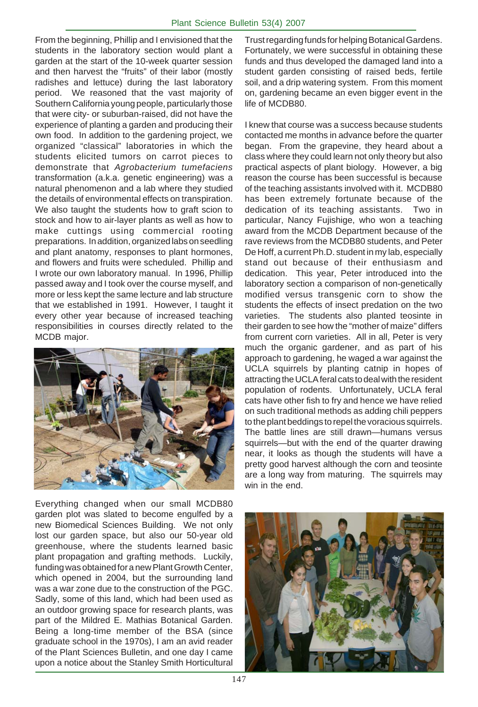From the beginning, Phillip and I envisioned that the students in the laboratory section would plant a garden at the start of the 10-week quarter session and then harvest the "fruits" of their labor (mostly radishes and lettuce) during the last laboratory period. We reasoned that the vast majority of Southern California young people, particularly those that were city- or suburban-raised, did not have the experience of planting a garden and producing their own food. In addition to the gardening project, we organized "classical" laboratories in which the students elicited tumors on carrot pieces to demonstrate that *Agrobacterium tumefaciens* transformation (a.k.a. genetic engineering) was a natural phenomenon and a lab where they studied the details of environmental effects on transpiration. We also taught the students how to graft scion to stock and how to air-layer plants as well as how to make cuttings using commercial rooting preparations. In addition, organized labs on seedling and plant anatomy, responses to plant hormones, and flowers and fruits were scheduled. Phillip and I wrote our own laboratory manual. In 1996, Phillip passed away and I took over the course myself, and more or less kept the same lecture and lab structure that we established in 1991. However, I taught it every other year because of increased teaching responsibilities in courses directly related to the MCDB major.



Everything changed when our small MCDB80 garden plot was slated to become engulfed by a new Biomedical Sciences Building. We not only lost our garden space, but also our 50-year old greenhouse, where the students learned basic plant propagation and grafting methods. Luckily, funding was obtained for a new Plant Growth Center, which opened in 2004, but the surrounding land was a war zone due to the construction of the PGC. Sadly, some of this land, which had been used as an outdoor growing space for research plants, was part of the Mildred E. Mathias Botanical Garden. Being a long-time member of the BSA (since graduate school in the 1970s), I am an avid reader of the Plant Sciences Bulletin, and one day I came upon a notice about the Stanley Smith Horticultural

Trust regarding funds for helping Botanical Gardens. Fortunately, we were successful in obtaining these funds and thus developed the damaged land into a student garden consisting of raised beds, fertile soil, and a drip watering system. From this moment on, gardening became an even bigger event in the life of MCDB80.

I knew that course was a success because students contacted me months in advance before the quarter began. From the grapevine, they heard about a class where they could learn not only theory but also practical aspects of plant biology. However, a big reason the course has been successful is because of the teaching assistants involved with it. MCDB80 has been extremely fortunate because of the dedication of its teaching assistants. Two in particular, Nancy Fujishige, who won a teaching award from the MCDB Department because of the rave reviews from the MCDB80 students, and Peter De Hoff, a current Ph.D. student in my lab, especially stand out because of their enthusiasm and dedication. This year, Peter introduced into the laboratory section a comparison of non-genetically modified versus transgenic corn to show the students the effects of insect predation on the two varieties. The students also planted teosinte in their garden to see how the "mother of maize" differs from current corn varieties. All in all, Peter is very much the organic gardener, and as part of his approach to gardening, he waged a war against the UCLA squirrels by planting catnip in hopes of attracting the UCLA feral cats to deal with the resident population of rodents. Unfortunately, UCLA feral cats have other fish to fry and hence we have relied on such traditional methods as adding chili peppers to the plant beddings to repel the voracious squirrels. The battle lines are still drawn—humans versus squirrels—but with the end of the quarter drawing near, it looks as though the students will have a pretty good harvest although the corn and teosinte are a long way from maturing. The squirrels may win in the end.

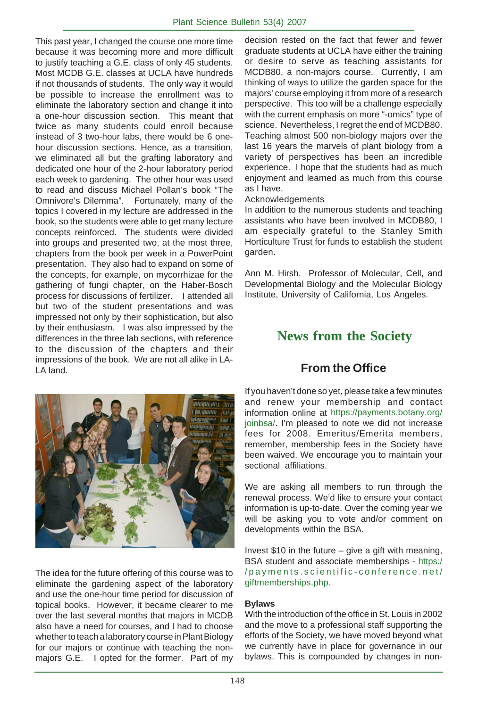This past year, I changed the course one more time because it was becoming more and more difficult to justify teaching a G.E. class of only 45 students. Most MCDB G.E. classes at UCLA have hundreds if not thousands of students. The only way it would be possible to increase the enrollment was to eliminate the laboratory section and change it into a one-hour discussion section. This meant that twice as many students could enroll because instead of 3 two-hour labs, there would be 6 onehour discussion sections. Hence, as a transition, we eliminated all but the grafting laboratory and dedicated one hour of the 2-hour laboratory period each week to gardening. The other hour was used to read and discuss Michael Pollan's book "The Omnivore's Dilemma". Fortunately, many of the topics I covered in my lecture are addressed in the book, so the students were able to get many lecture concepts reinforced. The students were divided into groups and presented two, at the most three, chapters from the book per week in a PowerPoint presentation. They also had to expand on some of the concepts, for example, on mycorrhizae for the gathering of fungi chapter, on the Haber-Bosch process for discussions of fertilizer. I attended all but two of the student presentations and was impressed not only by their sophistication, but also by their enthusiasm. I was also impressed by the differences in the three lab sections, with reference to the discussion of the chapters and their impressions of the book. We are not all alike in LA-LA land.



The idea for the future offering of this course was to eliminate the gardening aspect of the laboratory and use the one-hour time period for discussion of topical books. However, it became clearer to me over the last several months that majors in MCDB also have a need for courses, and I had to choose whether to teach a laboratory course in Plant Biology for our majors or continue with teaching the nonmajors G.E. I opted for the former. Part of my decision rested on the fact that fewer and fewer graduate students at UCLA have either the training or desire to serve as teaching assistants for MCDB80, a non-majors course. Currently, I am thinking of ways to utilize the garden space for the majors' course employing it from more of a research perspective. This too will be a challenge especially with the current emphasis on more "-omics" type of science. Nevertheless, I regret the end of MCDB80. Teaching almost 500 non-biology majors over the last 16 years the marvels of plant biology from a variety of perspectives has been an incredible experience. I hope that the students had as much enjoyment and learned as much from this course as I have.

### Acknowledgements

In addition to the numerous students and teaching assistants who have been involved in MCDB80, I am especially grateful to the Stanley Smith Horticulture Trust for funds to establish the student garden.

Ann M. Hirsh. Professor of Molecular, Cell, and Developmental Biology and the Molecular Biology Institute, University of California, Los Angeles.

# **News from the Society**

# **From the Office**

If you haven't done so yet, please take a few minutes and renew your membership and contact information online at https://payments.botany.org/ joinbsa/. I'm pleased to note we did not increase fees for 2008. Emeritus/Emerita members, remember, membership fees in the Society have been waived. We encourage you to maintain your sectional affiliations.

We are asking all members to run through the renewal process. We'd like to ensure your contact information is up-to-date. Over the coming year we will be asking you to vote and/or comment on developments within the BSA.

Invest \$10 in the future – give a gift with meaning, BSA student and associate memberships - https:/ /payments.scientific-conference.net/ giftmemberships.php.

### **Bylaws**

With the introduction of the office in St. Louis in 2002 and the move to a professional staff supporting the efforts of the Society, we have moved beyond what we currently have in place for governance in our bylaws. This is compounded by changes in non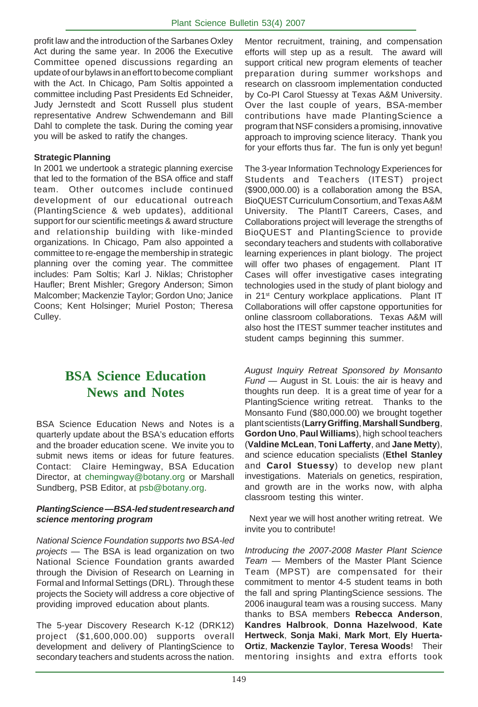profit law and the introduction of the Sarbanes Oxley Act during the same year. In 2006 the Executive Committee opened discussions regarding an update of our bylaws in an effort to become compliant with the Act. In Chicago, Pam Soltis appointed a committee including Past Presidents Ed Schneider, Judy Jernstedt and Scott Russell plus student representative Andrew Schwendemann and Bill Dahl to complete the task. During the coming year you will be asked to ratify the changes.

### **Strategic Planning**

In 2001 we undertook a strategic planning exercise that led to the formation of the BSA office and staff team. Other outcomes include continued development of our educational outreach (PlantingScience & web updates), additional support for our scientific meetings & award structure and relationship building with like-minded organizations. In Chicago, Pam also appointed a committee to re-engage the membership in strategic planning over the coming year. The committee includes: Pam Soltis; Karl J. Niklas; Christopher Haufler; Brent Mishler; Gregory Anderson; Simon Malcomber; Mackenzie Taylor; Gordon Uno; Janice Coons; Kent Holsinger; Muriel Poston; Theresa Culley.

# **BSA Science Education News and Notes**

BSA Science Education News and Notes is a quarterly update about the BSA's education efforts and the broader education scene. We invite you to submit news items or ideas for future features. Contact: Claire Hemingway, BSA Education Director, at chemingway@botany.org or Marshall Sundberg, PSB Editor, at psb@botany.org.

### *PlantingScience* **—***BSA-led student research and science mentoring program*

*National Science Foundation supports two BSA-led projects —* The BSA is lead organization on two National Science Foundation grants awarded through the Division of Research on Learning in Formal and Informal Settings (DRL). Through these projects the Society will address a core objective of providing improved education about plants.

The 5-year Discovery Research K-12 (DRK12) project (\$1,600,000.00) supports overall development and delivery of PlantingScience to secondary teachers and students across the nation.

Mentor recruitment, training, and compensation efforts will step up as a result. The award will support critical new program elements of teacher preparation during summer workshops and research on classroom implementation conducted by Co-PI Carol Stuessy at Texas A&M University. Over the last couple of years, BSA-member contributions have made PlantingScience a program that NSF considers a promising, innovative approach to improving science literacy. Thank you for your efforts thus far. The fun is only yet begun!

The 3-year Information Technology Experiences for Students and Teachers (ITEST) project (\$900,000.00) is a collaboration among the BSA, BioQUEST Curriculum Consortium, and Texas A&M University. The PlantIT Careers, Cases, and Collaborations project will leverage the strengths of BioQUEST and PlantingScience to provide secondary teachers and students with collaborative learning experiences in plant biology. The project will offer two phases of engagement. Plant IT Cases will offer investigative cases integrating technologies used in the study of plant biology and in 21<sup>st</sup> Century workplace applications. Plant IT Collaborations will offer capstone opportunities for online classroom collaborations. Texas A&M will also host the ITEST summer teacher institutes and student camps beginning this summer.

*August Inquiry Retreat Sponsored by Monsanto Fund —* August in St. Louis: the air is heavy and thoughts run deep. It is a great time of year for a PlantingScience writing retreat. Thanks to the Monsanto Fund (\$80,000.00) we brought together plant scientists (**Larry Griffing**, **Marshall Sundberg**, **Gordon Uno**, **Paul Williams**), high school teachers (**Valdine McLean**, **Toni Lafferty**, and **Jane Metty**), and science education specialists (**Ethel Stanley** and **Carol Stuessy**) to develop new plant investigations. Materials on genetics, respiration, and growth are in the works now, with alpha classroom testing this winter.

 Next year we will host another writing retreat. We invite you to contribute!

*Introducing the 2007-2008 Master Plant Science Team —* Members of the Master Plant Science Team (MPST) are compensated for their commitment to mentor 4-5 student teams in both the fall and spring PlantingScience sessions. The 2006 inaugural team was a rousing success. Many thanks to BSA members **Rebecca Anderson**, **Kandres Halbrook**, **Donna Hazelwood**, **Kate Hertweck**, **Sonja Maki**, **Mark Mort**, **Ely Huerta-Ortiz**, **Mackenzie Taylor**, **Teresa Woods**! Their mentoring insights and extra efforts took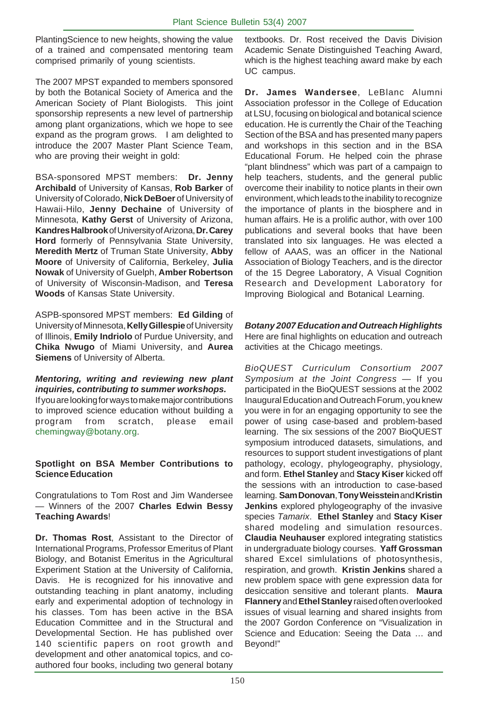PlantingScience to new heights, showing the value of a trained and compensated mentoring team comprised primarily of young scientists.

The 2007 MPST expanded to members sponsored by both the Botanical Society of America and the American Society of Plant Biologists. This joint sponsorship represents a new level of partnership among plant organizations, which we hope to see expand as the program grows. I am delighted to introduce the 2007 Master Plant Science Team, who are proving their weight in gold:

BSA-sponsored MPST members: **Dr. Jenny Archibald** of University of Kansas, **Rob Barker** of University of Colorado, **Nick DeBoer** of University of Hawaii-Hilo, **Jenny Dechaine** of University of Minnesota, **Kathy Gerst** of University of Arizona, **Kandres Halbrook** of University of Arizona, **Dr. Carey Hord** formerly of Pennsylvania State University, **Meredith Mertz** of Truman State University, **Abby Moore** of University of California, Berkeley, **Julia Nowak** of University of Guelph, **Amber Robertson** of University of Wisconsin-Madison, and **Teresa Woods** of Kansas State University.

ASPB-sponsored MPST members: **Ed Gilding** of University of Minnesota, **Kelly Gillespie** of University of Illinois, **Emily Indriolo** of Purdue University, and **Chika Nwugo** of Miami University, and **Aurea Siemens** of University of Alberta.

### *Mentoring, writing and reviewing new plant inquiries, contributing to summer workshops.*

If you are looking for ways to make major contributions to improved science education without building a program from scratch, please email chemingway@botany.org.

### **Spotlight on BSA Member Contributions to Science Education**

Congratulations to Tom Rost and Jim Wandersee *—* Winners of the 2007 **Charles Edwin Bessy Teaching Awards**!

**Dr. Thomas Rost**, Assistant to the Director of International Programs, Professor Emeritus of Plant Biology, and Botanist Emeritus in the Agricultural Experiment Station at the University of California, Davis. He is recognized for his innovative and outstanding teaching in plant anatomy, including early and experimental adoption of technology in his classes. Tom has been active in the BSA Education Committee and in the Structural and Developmental Section. He has published over 140 scientific papers on root growth and development and other anatomical topics, and coauthored four books, including two general botany

textbooks. Dr. Rost received the Davis Division Academic Senate Distinguished Teaching Award, which is the highest teaching award make by each UC campus.

**Dr. James Wandersee**, LeBlanc Alumni Association professor in the College of Education at LSU, focusing on biological and botanical science education. He is currently the Chair of the Teaching Section of the BSA and has presented many papers and workshops in this section and in the BSA Educational Forum. He helped coin the phrase "plant blindness" which was part of a campaign to help teachers, students, and the general public overcome their inability to notice plants in their own environment, which leads to the inability to recognize the importance of plants in the biosphere and in human affairs. He is a prolific author, with over 100 publications and several books that have been translated into six languages. He was elected a fellow of AAAS, was an officer in the National Association of Biology Teachers, and is the director of the 15 Degree Laboratory, A Visual Cognition Research and Development Laboratory for Improving Biological and Botanical Learning.

### *Botany 2007 Education and Outreach Highlights*

Here are final highlights on education and outreach activities at the Chicago meetings.

*BioQUEST Curriculum Consortium 2007 Symposium at the Joint Congress —* If you participated in the BioQUEST sessions at the 2002 Inaugural Education and Outreach Forum, you knew you were in for an engaging opportunity to see the power of using case-based and problem-based learning. The six sessions of the 2007 BioQUEST symposium introduced datasets, simulations, and resources to support student investigations of plant pathology, ecology, phylogeography, physiology, and form. **Ethel Stanley** and **Stacy Kiser** kicked off the sessions with an introduction to case-based learning. **Sam Donovan**, **Tony Weisstein** and **Kristin Jenkins** explored phylogeography of the invasive species *Tamarix*. **Ethel Stanley** and **Stacy Kiser** shared modeling and simulation resources. **Claudia Neuhauser** explored integrating statistics in undergraduate biology courses. **Yaff Grossman** shared Excel simlulations of photosynthesis, respiration, and growth. **Kristin Jenkins** shared a new problem space with gene expression data for desiccation sensitive and tolerant plants. **Maura Flannery** and **Ethel Stanley** raised often overlooked issues of visual learning and shared insights from the 2007 Gordon Conference on "Visualization in Science and Education: Seeing the Data … and Beyond!"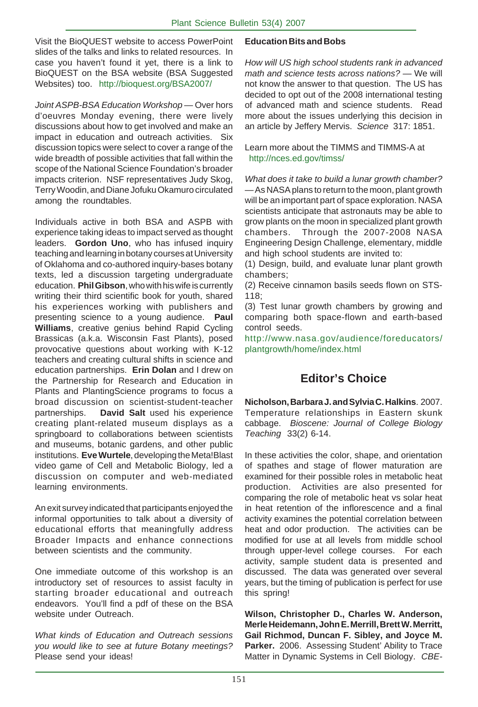Visit the BioQUEST website to access PowerPoint slides of the talks and links to related resources. In case you haven't found it yet, there is a link to BioQUEST on the BSA website (BSA Suggested Websites) too. http://bioquest.org/BSA2007/

*Joint ASPB-BSA Education Workshop —* Over hors d'oeuvres Monday evening, there were lively discussions about how to get involved and make an impact in education and outreach activities. Six discussion topics were select to cover a range of the wide breadth of possible activities that fall within the scope of the National Science Foundation's broader impacts criterion. NSF representatives Judy Skog, Terry Woodin, and Diane Jofuku Okamuro circulated among the roundtables.

Individuals active in both BSA and ASPB with experience taking ideas to impact served as thought leaders. **Gordon Uno**, who has infused inquiry teaching and learning in botany courses at University of Oklahoma and co-authored inquiry-bases botany texts, led a discussion targeting undergraduate education. **Phil Gibson**, who with his wife is currently writing their third scientific book for youth, shared his experiences working with publishers and presenting science to a young audience. **Paul Williams**, creative genius behind Rapid Cycling Brassicas (a.k.a. Wisconsin Fast Plants), posed provocative questions about working with K-12 teachers and creating cultural shifts in science and education partnerships. **Erin Dolan** and I drew on the Partnership for Research and Education in Plants and PlantingScience programs to focus a broad discussion on scientist-student-teacher partnerships. **David Salt** used his experience creating plant-related museum displays as a springboard to collaborations between scientists and museums, botanic gardens, and other public institutions. **Eve Wurtele**, developing the Meta!Blast video game of Cell and Metabolic Biology, led a discussion on computer and web-mediated learning environments.

An exit survey indicated that participants enjoyed the informal opportunities to talk about a diversity of educational efforts that meaningfully address Broader Impacts and enhance connections between scientists and the community.

One immediate outcome of this workshop is an introductory set of resources to assist faculty in starting broader educational and outreach endeavors. You'll find a pdf of these on the BSA website under Outreach.

*What kinds of Education and Outreach sessions you would like to see at future Botany meetings?* Please send your ideas!

### **Education Bits and Bobs**

*How will US high school students rank in advanced math and science tests across nations?* — We will not know the answer to that question. The US has decided to opt out of the 2008 international testing of advanced math and science students. Read more about the issues underlying this decision in an article by Jeffery Mervis. *Science* 317: 1851.

Learn more about the TIMMS and TIMMS-A at http://nces.ed.gov/timss/

*What does it take to build a lunar growth chamber?* — As NASA plans to return to the moon, plant growth will be an important part of space exploration. NASA scientists anticipate that astronauts may be able to grow plants on the moon in specialized plant growth chambers. Through the 2007-2008 NASA Engineering Design Challenge, elementary, middle and high school students are invited to:

(1) Design, build, and evaluate lunar plant growth chambers;

(2) Receive cinnamon basils seeds flown on STS-118;

(3) Test lunar growth chambers by growing and comparing both space-flown and earth-based control seeds.

http://www.nasa.gov/audience/foreducators/ plantgrowth/home/index.html

# **Editor's Choice**

**Nicholson, Barbara J. and Sylvia C. Halkins**. 2007. Temperature relationships in Eastern skunk cabbage. *Bioscene: Journal of College Biology Teaching* 33(2) 6-14.

In these activities the color, shape, and orientation of spathes and stage of flower maturation are examined for their possible roles in metabolic heat production. Activities are also presented for comparing the role of metabolic heat vs solar heat in heat retention of the inflorescence and a final activity examines the potential correlation between heat and odor production. The activities can be modified for use at all levels from middle school through upper-level college courses. For each activity, sample student data is presented and discussed. The data was generated over several years, but the timing of publication is perfect for use this spring!

**Wilson, Christopher D., Charles W. Anderson, Merle Heidemann, John E. Merrill, Brett W. Merritt, Gail Richmod, Duncan F. Sibley, and Joyce M. Parker.** 2006. Assessing Student' Ability to Trace Matter in Dynamic Systems in Cell Biology. *CBE-*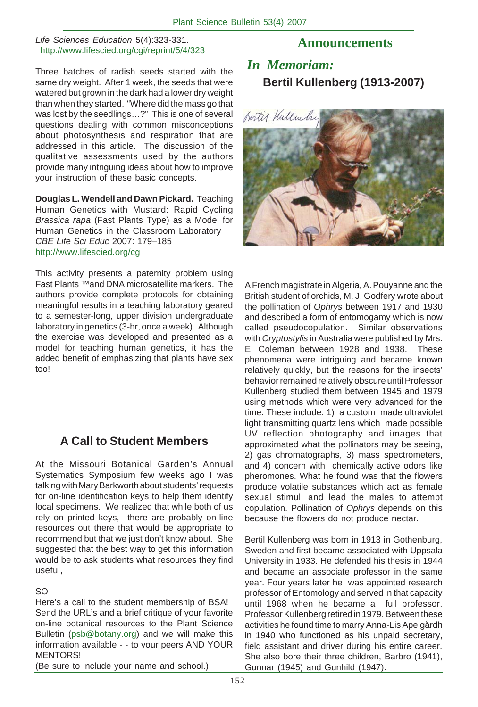### *Life Sciences Education* 5(4):323-331. http://www.lifescied.org/cgi/reprint/5/4/323

Three batches of radish seeds started with the same dry weight. After 1 week, the seeds that were watered but grown in the dark had a lower dry weight than when they started. "Where did the mass go that was lost by the seedlings…?" This is one of several questions dealing with common misconceptions about photosynthesis and respiration that are addressed in this article. The discussion of the qualitative assessments used by the authors provide many intriguing ideas about how to improve your instruction of these basic concepts.

**Douglas L. Wendell and Dawn Pickard.** Teaching Human Genetics with Mustard: Rapid Cycling *Brassica rapa* (Fast Plants Type) as a Model for Human Genetics in the Classroom Laboratory *CBE Life Sci Educ* 2007: 179–185 http://www.lifescied.org/cg

This activity presents a paternity problem using Fast Plants ™and DNA microsatellite markers. The authors provide complete protocols for obtaining meaningful results in a teaching laboratory geared to a semester-long, upper division undergraduate laboratory in genetics (3-hr, once a week). Although the exercise was developed and presented as a model for teaching human genetics, it has the added benefit of emphasizing that plants have sex too!

# **A Call to Student Members**

At the Missouri Botanical Garden's Annual Systematics Symposium few weeks ago I was talking with Mary Barkworth about students' requests for on-line identification keys to help them identify local specimens. We realized that while both of us rely on printed keys, there are probably on-line resources out there that would be appropriate to recommend but that we just don't know about. She suggested that the best way to get this information would be to ask students what resources they find useful,

### $SO<sub>-</sub>$

Here's a call to the student membership of BSA! Send the URL's and a brief critique of your favorite on-line botanical resources to the Plant Science Bulletin (psb@botany.org) and we will make this information available - - to your peers AND YOUR MENTORS!

(Be sure to include your name and school.)

### **Announcements**

# *In Memoriam:* **Bertil Kullenberg (1913-2007)**



A French magistrate in Algeria, A. Pouyanne and the British student of orchids, M. J. Godfery wrote about the pollination of *Ophrys* between 1917 and 1930 and described a form of entomogamy which is now called pseudocopulation. Similar observations with *Cryptostylis* in Australia were published by Mrs. E. Coleman between 1928 and 1938. These phenomena were intriguing and became known relatively quickly, but the reasons for the insects' behavior remained relatively obscure until Professor Kullenberg studied them between 1945 and 1979 using methods which were very advanced for the time. These include: 1) a custom made ultraviolet light transmitting quartz lens which made possible UV reflection photography and images that approximated what the pollinators may be seeing, 2) gas chromatographs, 3) mass spectrometers, and 4) concern with chemically active odors like pheromones. What he found was that the flowers produce volatile substances which act as female sexual stimuli and lead the males to attempt copulation. Pollination of *Ophrys* depends on this because the flowers do not produce nectar.

Bertil Kullenberg was born in 1913 in Gothenburg, Sweden and first became associated with Uppsala University in 1933. He defended his thesis in 1944 and became an associate professor in the same year. Four years later he was appointed research professor of Entomology and served in that capacity until 1968 when he became a full professor. Professor Kullenberg retired in 1979. Between these activities he found time to marry Anna-Lis Apelgårdh in 1940 who functioned as his unpaid secretary, field assistant and driver during his entire career. She also bore their three children, Barbro (1941), Gunnar (1945) and Gunhild (1947).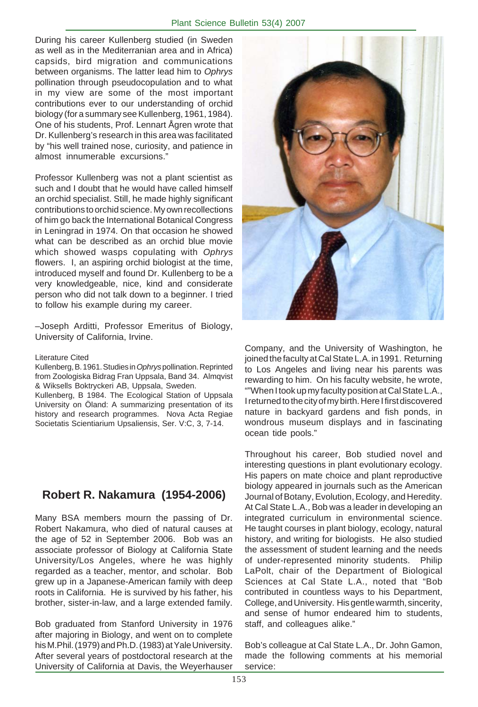During his career Kullenberg studied (in Sweden as well as in the Mediterranian area and in Africa) capsids, bird migration and communications between organisms. The latter lead him to *Ophrys* pollination through pseudocopulation and to what in my view are some of the most important contributions ever to our understanding of orchid biology (for a summary see Kullenberg, 1961, 1984). One of his students, Prof. Lennart Ågren wrote that Dr. Kullenberg's research in this area was facilitated by "his well trained nose, curiosity, and patience in almost innumerable excursions."

Professor Kullenberg was not a plant scientist as such and I doubt that he would have called himself an orchid specialist. Still, he made highly significant contributions to orchid science. My own recollections of him go back the International Botanical Congress in Leningrad in 1974. On that occasion he showed what can be described as an orchid blue movie which showed wasps copulating with *Ophrys* flowers. I, an aspiring orchid biologist at the time, introduced myself and found Dr. Kullenberg to be a very knowledgeable, nice, kind and considerate person who did not talk down to a beginner. I tried to follow his example during my career.

–Joseph Arditti, Professor Emeritus of Biology, University of California, Irvine.

#### Literature Cited

Kullenberg, B. 1961. Studies in *Ophrys* pollination. Reprinted from Zoologiska Bidrag Fran Uppsala, Band 34. Almqvist & Wiksells Boktryckeri AB, Uppsala, Sweden.

Kullenberg, B 1984. The Ecological Station of Uppsala University on Öland: A summarizing presentation of its history and research programmes. Nova Acta Regiae Societatis Scientiarium Upsaliensis, Ser. V:C, 3, 7-14.

### **Robert R. Nakamura (1954-2006)**

Many BSA members mourn the passing of Dr. Robert Nakamura, who died of natural causes at the age of 52 in September 2006. Bob was an associate professor of Biology at California State University/Los Angeles, where he was highly regarded as a teacher, mentor, and scholar. Bob grew up in a Japanese-American family with deep roots in California. He is survived by his father, his brother, sister-in-law, and a large extended family.

Bob graduated from Stanford University in 1976 after majoring in Biology, and went on to complete his M.Phil. (1979) and Ph.D. (1983) at Yale University. After several years of postdoctoral research at the University of California at Davis, the Weyerhauser



Company, and the University of Washington, he joined the faculty at Cal State L.A. in 1991. Returning to Los Angeles and living near his parents was rewarding to him. On his faculty website, he wrote, ""When I took up my faculty position at Cal State L.A., I returned to the city of my birth. Here I first discovered nature in backyard gardens and fish ponds, in wondrous museum displays and in fascinating ocean tide pools."

Throughout his career, Bob studied novel and interesting questions in plant evolutionary ecology. His papers on mate choice and plant reproductive biology appeared in journals such as the American Journal of Botany, Evolution, Ecology, and Heredity. At Cal State L.A., Bob was a leader in developing an integrated curriculum in environmental science. He taught courses in plant biology, ecology, natural history, and writing for biologists. He also studied the assessment of student learning and the needs of under-represented minority students. Philip LaPolt, chair of the Department of Biological Sciences at Cal State L.A., noted that "Bob contributed in countless ways to his Department, College, and University. His gentle warmth, sincerity, and sense of humor endeared him to students, staff, and colleagues alike."

Bob's colleague at Cal State L.A., Dr. John Gamon, made the following comments at his memorial service: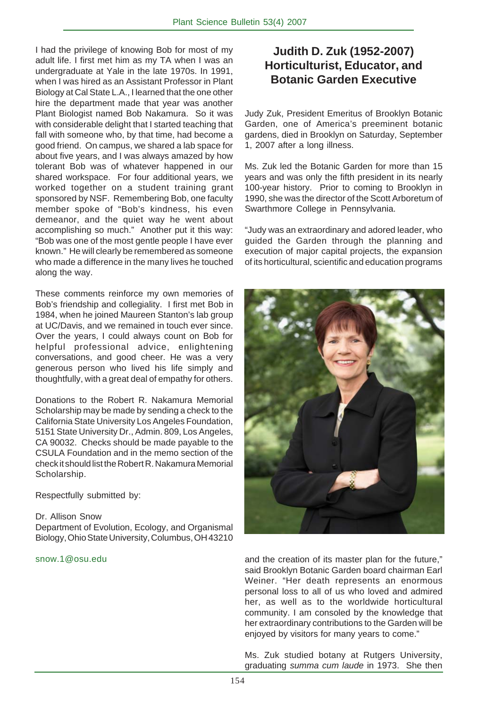I had the privilege of knowing Bob for most of my adult life. I first met him as my TA when I was an undergraduate at Yale in the late 1970s. In 1991, when I was hired as an Assistant Professor in Plant Biology at Cal State L.A., I learned that the one other hire the department made that year was another Plant Biologist named Bob Nakamura. So it was with considerable delight that I started teaching that fall with someone who, by that time, had become a good friend. On campus, we shared a lab space for about five years, and I was always amazed by how tolerant Bob was of whatever happened in our shared workspace. For four additional years, we worked together on a student training grant sponsored by NSF. Remembering Bob, one faculty member spoke of "Bob's kindness, his even demeanor, and the quiet way he went about accomplishing so much." Another put it this way: "Bob was one of the most gentle people I have ever known." He will clearly be remembered as someone who made a difference in the many lives he touched along the way.

These comments reinforce my own memories of Bob's friendship and collegiality. I first met Bob in 1984, when he joined Maureen Stanton's lab group at UC/Davis, and we remained in touch ever since. Over the years, I could always count on Bob for helpful professional advice, enlightening conversations, and good cheer. He was a very generous person who lived his life simply and thoughtfully, with a great deal of empathy for others.

Donations to the Robert R. Nakamura Memorial Scholarship may be made by sending a check to the California State University Los Angeles Foundation, 5151 State University Dr., Admin. 809, Los Angeles, CA 90032. Checks should be made payable to the CSULA Foundation and in the memo section of the check it should list the Robert R. Nakamura Memorial Scholarship.

Respectfully submitted by:

### Dr. Allison Snow

Department of Evolution, Ecology, and Organismal Biology, Ohio State University, Columbus, OH 43210

snow.1@osu.edu

# **Judith D. Zuk (1952-2007) Horticulturist, Educator, and Botanic Garden Executive**

Judy Zuk, President Emeritus of Brooklyn Botanic Garden, one of America's preeminent botanic gardens, died in Brooklyn on Saturday, September 1, 2007 after a long illness.

Ms. Zuk led the Botanic Garden for more than 15 years and was only the fifth president in its nearly 100-year history. Prior to coming to Brooklyn in 1990, she was the director of the Scott Arboretum of Swarthmore College in Pennsylvania.

"Judy was an extraordinary and adored leader, who guided the Garden through the planning and execution of major capital projects, the expansion of its horticultural, scientific and education programs



and the creation of its master plan for the future," said Brooklyn Botanic Garden board chairman Earl Weiner. "Her death represents an enormous personal loss to all of us who loved and admired her, as well as to the worldwide horticultural community. I am consoled by the knowledge that her extraordinary contributions to the Garden will be enjoyed by visitors for many years to come."

Ms. Zuk studied botany at Rutgers University, graduating *summa cum laude* in 1973. She then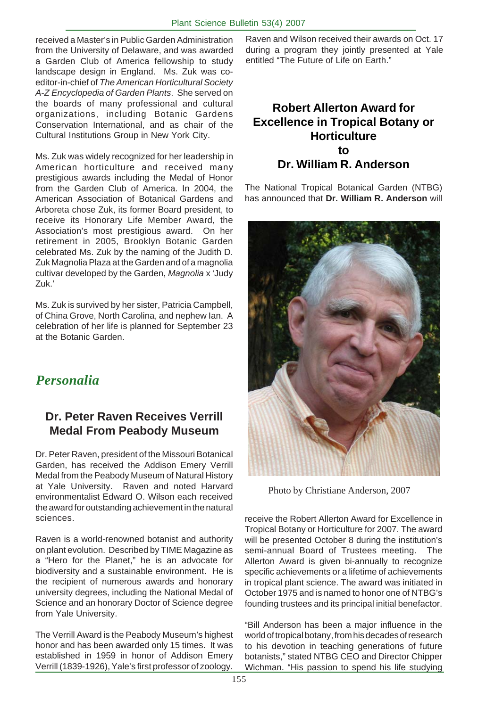received a Master's in Public Garden Administration from the University of Delaware, and was awarded a Garden Club of America fellowship to study landscape design in England. Ms. Zuk was coeditor-in-chief of *The American Horticultural Society A-Z Encyclopedia of Garden Plants*. She served on the boards of many professional and cultural organizations, including Botanic Gardens Conservation International, and as chair of the Cultural Institutions Group in New York City.

Ms. Zuk was widely recognized for her leadership in American horticulture and received many prestigious awards including the Medal of Honor from the Garden Club of America. In 2004, the American Association of Botanical Gardens and Arboreta chose Zuk, its former Board president, to receive its Honorary Life Member Award, the Association's most prestigious award. On her retirement in 2005, Brooklyn Botanic Garden celebrated Ms. Zuk by the naming of the Judith D. Zuk Magnolia Plaza at the Garden and of a magnolia cultivar developed by the Garden, *Magnolia* x 'Judy Zuk.'

Ms. Zuk is survived by her sister, Patricia Campbell, of China Grove, North Carolina, and nephew Ian. A celebration of her life is planned for September 23 at the Botanic Garden.

# *Personalia*

# **Dr. Peter Raven Receives Verrill Medal From Peabody Museum**

Dr. Peter Raven, president of the Missouri Botanical Garden, has received the Addison Emery Verrill Medal from the Peabody Museum of Natural History at Yale University. Raven and noted Harvard environmentalist Edward O. Wilson each received the award for outstanding achievement in the natural sciences.

Raven is a world-renowned botanist and authority on plant evolution. Described by TIME Magazine as a "Hero for the Planet," he is an advocate for biodiversity and a sustainable environment. He is the recipient of numerous awards and honorary university degrees, including the National Medal of Science and an honorary Doctor of Science degree from Yale University.

The Verrill Award is the Peabody Museum's highest honor and has been awarded only 15 times. It was established in 1959 in honor of Addison Emery Verrill (1839-1926), Yale's first professor of zoology. Raven and Wilson received their awards on Oct. 17 during a program they jointly presented at Yale entitled "The Future of Life on Earth."

# **Robert Allerton Award for Excellence in Tropical Botany or Horticulture to Dr. William R. Anderson**

The National Tropical Botanical Garden (NTBG) has announced that **Dr. William R. Anderson** will



Photo by Christiane Anderson, 2007

receive the Robert Allerton Award for Excellence in Tropical Botany or Horticulture for 2007. The award will be presented October 8 during the institution's semi-annual Board of Trustees meeting. The Allerton Award is given bi-annually to recognize specific achievements or a lifetime of achievements in tropical plant science. The award was initiated in October 1975 and is named to honor one of NTBG's founding trustees and its principal initial benefactor.

"Bill Anderson has been a major influence in the world of tropical botany, from his decades of research to his devotion in teaching generations of future botanists," stated NTBG CEO and Director Chipper Wichman. "His passion to spend his life studying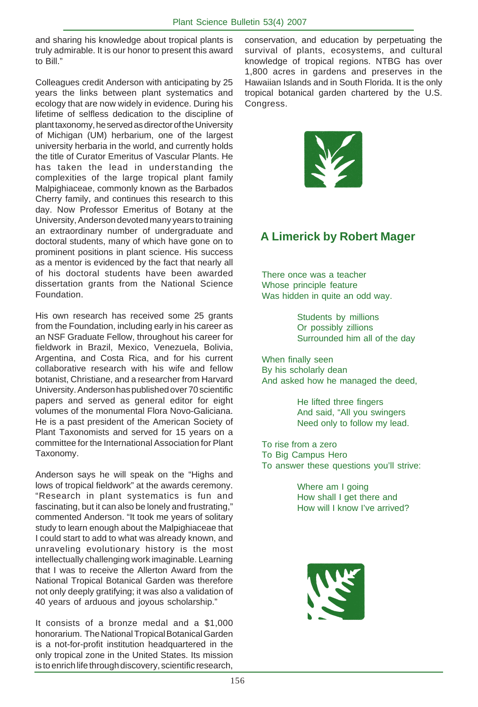and sharing his knowledge about tropical plants is truly admirable. It is our honor to present this award to Bill."

Colleagues credit Anderson with anticipating by 25 years the links between plant systematics and ecology that are now widely in evidence. During his lifetime of selfless dedication to the discipline of plant taxonomy, he served as director of the University of Michigan (UM) herbarium, one of the largest university herbaria in the world, and currently holds the title of Curator Emeritus of Vascular Plants. He has taken the lead in understanding the complexities of the large tropical plant family Malpighiaceae, commonly known as the Barbados Cherry family, and continues this research to this day. Now Professor Emeritus of Botany at the University, Anderson devoted many years to training an extraordinary number of undergraduate and doctoral students, many of which have gone on to prominent positions in plant science. His success as a mentor is evidenced by the fact that nearly all of his doctoral students have been awarded dissertation grants from the National Science Foundation.

His own research has received some 25 grants from the Foundation, including early in his career as an NSF Graduate Fellow, throughout his career for fieldwork in Brazil, Mexico, Venezuela, Bolivia, Argentina, and Costa Rica, and for his current collaborative research with his wife and fellow botanist, Christiane, and a researcher from Harvard University. Anderson has published over 70 scientific papers and served as general editor for eight volumes of the monumental Flora Novo-Galiciana. He is a past president of the American Society of Plant Taxonomists and served for 15 years on a committee for the International Association for Plant Taxonomy.

Anderson says he will speak on the "Highs and lows of tropical fieldwork" at the awards ceremony. "Research in plant systematics is fun and fascinating, but it can also be lonely and frustrating," commented Anderson. "It took me years of solitary study to learn enough about the Malpighiaceae that I could start to add to what was already known, and unraveling evolutionary history is the most intellectually challenging work imaginable. Learning that I was to receive the Allerton Award from the National Tropical Botanical Garden was therefore not only deeply gratifying; it was also a validation of 40 years of arduous and joyous scholarship."

It consists of a bronze medal and a \$1,000 honorarium. The National Tropical Botanical Garden is a not-for-profit institution headquartered in the only tropical zone in the United States. Its mission is to enrich life through discovery, scientific research,

conservation, and education by perpetuating the survival of plants, ecosystems, and cultural knowledge of tropical regions. NTBG has over 1,800 acres in gardens and preserves in the Hawaiian Islands and in South Florida. It is the only tropical botanical garden chartered by the U.S. Congress.



# **A Limerick by Robert Mager**

There once was a teacher Whose principle feature Was hidden in quite an odd way.

> Students by millions Or possibly zillions Surrounded him all of the day

When finally seen By his scholarly dean And asked how he managed the deed,

> He lifted three fingers And said, "All you swingers Need only to follow my lead.

To rise from a zero To Big Campus Hero To answer these questions you'll strive:

> Where am I going How shall I get there and How will I know I've arrived?

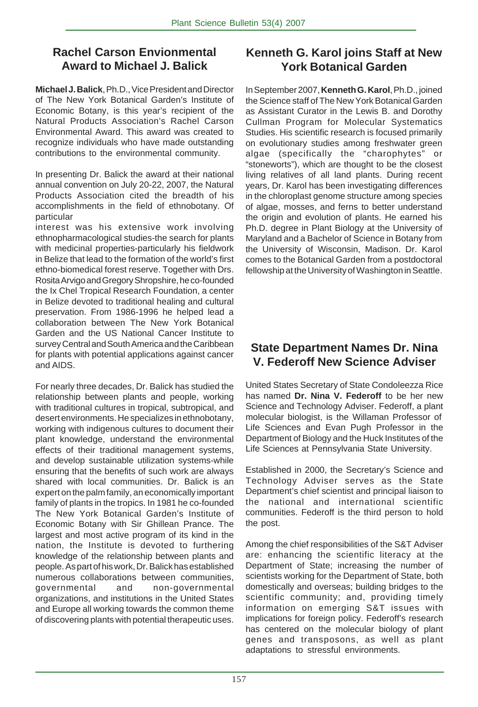# **Rachel Carson Envionmental Award to Michael J. Balick**

**Michael J. Balick**, Ph.D., Vice President and Director of The New York Botanical Garden's Institute of Economic Botany, is this year's recipient of the Natural Products Association's Rachel Carson Environmental Award. This award was created to recognize individuals who have made outstanding contributions to the environmental community.

In presenting Dr. Balick the award at their national annual convention on July 20-22, 2007, the Natural Products Association cited the breadth of his accomplishments in the field of ethnobotany. Of particular

interest was his extensive work involving ethnopharmacological studies-the search for plants with medicinal properties-particularly his fieldwork in Belize that lead to the formation of the world's first ethno-biomedical forest reserve. Together with Drs. Rosita Arvigo and Gregory Shropshire, he co-founded the Ix Chel Tropical Research Foundation, a center in Belize devoted to traditional healing and cultural preservation. From 1986-1996 he helped lead a collaboration between The New York Botanical Garden and the US National Cancer Institute to survey Central and South America and the Caribbean for plants with potential applications against cancer and AIDS.

For nearly three decades, Dr. Balick has studied the relationship between plants and people, working with traditional cultures in tropical, subtropical, and desert environments. He specializes in ethnobotany, working with indigenous cultures to document their plant knowledge, understand the environmental effects of their traditional management systems, and develop sustainable utilization systems-while ensuring that the benefits of such work are always shared with local communities. Dr. Balick is an expert on the palm family, an economically important family of plants in the tropics. In 1981 he co-founded The New York Botanical Garden's Institute of Economic Botany with Sir Ghillean Prance. The largest and most active program of its kind in the nation, the Institute is devoted to furthering knowledge of the relationship between plants and people. As part of his work, Dr. Balick has established numerous collaborations between communities, governmental and non-governmental organizations, and institutions in the United States and Europe all working towards the common theme of discovering plants with potential therapeutic uses.

# **Kenneth G. Karol joins Staff at New York Botanical Garden**

In September 2007, **Kenneth G. Karol**, Ph.D., joined the Science staff of The New York Botanical Garden as Assistant Curator in the Lewis B. and Dorothy Cullman Program for Molecular Systematics Studies. His scientific research is focused primarily on evolutionary studies among freshwater green algae (specifically the "charophytes" or "stoneworts"), which are thought to be the closest living relatives of all land plants. During recent years, Dr. Karol has been investigating differences in the chloroplast genome structure among species of algae, mosses, and ferns to better understand the origin and evolution of plants. He earned his Ph.D. degree in Plant Biology at the University of Maryland and a Bachelor of Science in Botany from the University of Wisconsin, Madison. Dr. Karol comes to the Botanical Garden from a postdoctoral fellowship at the University of Washington in Seattle.

# **State Department Names Dr. Nina V. Federoff New Science Adviser**

United States Secretary of State Condoleezza Rice has named **Dr. Nina V. Federoff** to be her new Science and Technology Adviser. Federoff, a plant molecular biologist, is the Willaman Professor of Life Sciences and Evan Pugh Professor in the Department of Biology and the Huck Institutes of the Life Sciences at Pennsylvania State University.

Established in 2000, the Secretary's Science and Technology Adviser serves as the State Department's chief scientist and principal liaison to the national and international scientific communities. Federoff is the third person to hold the post.

Among the chief responsibilities of the S&T Adviser are: enhancing the scientific literacy at the Department of State; increasing the number of scientists working for the Department of State, both domestically and overseas; building bridges to the scientific community; and, providing timely information on emerging S&T issues with implications for foreign policy. Federoff's research has centered on the molecular biology of plant genes and transposons, as well as plant adaptations to stressful environments.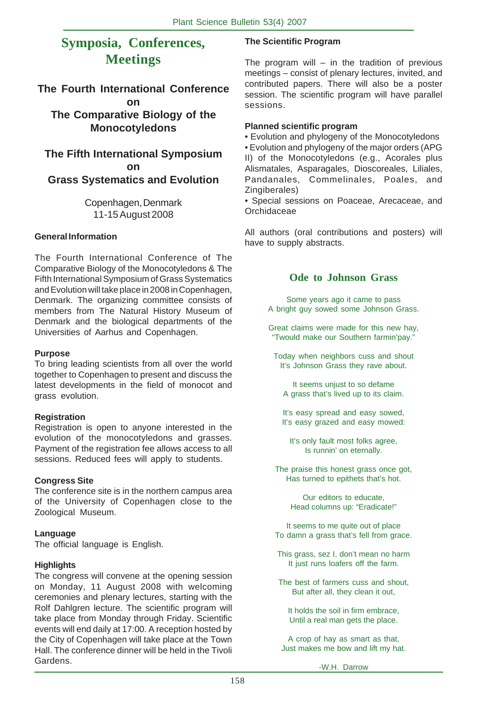# **Symposia, Conferences, Meetings**

### **The Fourth International Conference on The Comparative Biology of the Monocotyledons**

### **The Fifth International Symposium on Grass Systematics and Evolution**

Copenhagen, Denmark 11-15 August 2008

### **General Information**

The Fourth International Conference of The Comparative Biology of the Monocotyledons & The Fifth International Symposium of Grass Systematics and Evolution will take place in 2008 in Copenhagen, Denmark. The organizing committee consists of members from The Natural History Museum of Denmark and the biological departments of the Universities of Aarhus and Copenhagen.

### **Purpose**

To bring leading scientists from all over the world together to Copenhagen to present and discuss the latest developments in the field of monocot and grass evolution.

### **Registration**

Registration is open to anyone interested in the evolution of the monocotyledons and grasses. Payment of the registration fee allows access to all sessions. Reduced fees will apply to students.

### **Congress Site**

The conference site is in the northern campus area of the University of Copenhagen close to the Zoological Museum.

### **Language**

The official language is English.

### **Highlights**

The congress will convene at the opening session on Monday, 11 August 2008 with welcoming ceremonies and plenary lectures, starting with the Rolf Dahlgren lecture. The scientific program will take place from Monday through Friday. Scientific events will end daily at 17:00. A reception hosted by the City of Copenhagen will take place at the Town Hall. The conference dinner will be held in the Tivoli Gardens.

### **The Scientific Program**

The program will  $-$  in the tradition of previous meetings – consist of plenary lectures, invited, and contributed papers. There will also be a poster session. The scientific program will have parallel sessions.

### **Planned scientific program**

• Evolution and phylogeny of the Monocotyledons • Evolution and phylogeny of the major orders (APG II) of the Monocotyledons (e.g., Acorales plus Alismatales, Asparagales, Dioscoreales, Liliales, Pandanales, Commelinales, Poales, and

Zingiberales) • Special sessions on Poaceae, Arecaceae, and Orchidaceae

All authors (oral contributions and posters) will have to supply abstracts.

### **Ode to Johnson Grass**

Some years ago it came to pass A bright guy sowed some Johnson Grass.

Great claims were made for this new hay, "Twould make our Southern farmin'pay."

Today when neighbors cuss and shout It's Johnson Grass they rave about.

It seems unjust to so defame A grass that's lived up to its claim.

It's easy spread and easy sowed, It's easy grazed and easy mowed:

It's only fault most folks agree, Is runnin' on eternally.

The praise this honest grass once got, Has turned to epithets that's hot.

> Our editors to educate, Head columns up: "Eradicate!"

It seems to me quite out of place To damn a grass that's fell from grace.

This grass, sez I, don't mean no harm It just runs loafers off the farm.

The best of farmers cuss and shout, But after all, they clean it out,

It holds the soil in firm embrace, Until a real man gets the place.

A crop of hay as smart as that, Just makes me bow and lift my hat.

-W.H. Darrow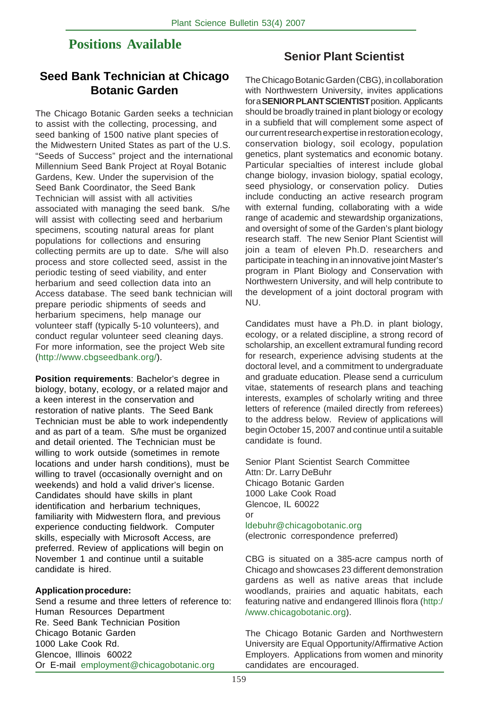# **Positions Available**

# **Seed Bank Technician at Chicago Botanic Garden**

The Chicago Botanic Garden seeks a technician to assist with the collecting, processing, and seed banking of 1500 native plant species of the Midwestern United States as part of the U.S. "Seeds of Success" project and the international Millennium Seed Bank Project at Royal Botanic Gardens, Kew. Under the supervision of the Seed Bank Coordinator, the Seed Bank Technician will assist with all activities associated with managing the seed bank. S/he will assist with collecting seed and herbarium specimens, scouting natural areas for plant populations for collections and ensuring collecting permits are up to date. S/he will also process and store collected seed, assist in the periodic testing of seed viability, and enter herbarium and seed collection data into an Access database. The seed bank technician will prepare periodic shipments of seeds and herbarium specimens, help manage our volunteer staff (typically 5-10 volunteers), and conduct regular volunteer seed cleaning days. For more information, see the project Web site (http://www.cbgseedbank.org/).

**Position requirements**: Bachelor's degree in biology, botany, ecology, or a related major and a keen interest in the conservation and restoration of native plants. The Seed Bank Technician must be able to work independently and as part of a team. S/he must be organized and detail oriented. The Technician must be willing to work outside (sometimes in remote locations and under harsh conditions), must be willing to travel (occasionally overnight and on weekends) and hold a valid driver's license. Candidates should have skills in plant identification and herbarium techniques, familiarity with Midwestern flora, and previous experience conducting fieldwork. Computer skills, especially with Microsoft Access, are preferred. Review of applications will begin on November 1 and continue until a suitable candidate is hired.

### **Application procedure:**

Send a resume and three letters of reference to: Human Resources Department Re. Seed Bank Technician Position Chicago Botanic Garden 1000 Lake Cook Rd. Glencoe, Illinois 60022 Or E-mail employment@chicagobotanic.org

### **Senior Plant Scientist**

The Chicago Botanic Garden (CBG), in collaboration with Northwestern University, invites applications for a **SENIOR PLANT SCIENTIST** position. Applicants should be broadly trained in plant biology or ecology in a subfield that will complement some aspect of our current research expertise in restoration ecology, conservation biology, soil ecology, population genetics, plant systematics and economic botany. Particular specialties of interest include global change biology, invasion biology, spatial ecology, seed physiology, or conservation policy. Duties include conducting an active research program with external funding, collaborating with a wide range of academic and stewardship organizations, and oversight of some of the Garden's plant biology research staff. The new Senior Plant Scientist will join a team of eleven Ph.D. researchers and participate in teaching in an innovative joint Master's program in Plant Biology and Conservation with Northwestern University, and will help contribute to the development of a joint doctoral program with NU.

Candidates must have a Ph.D. in plant biology, ecology, or a related discipline, a strong record of scholarship, an excellent extramural funding record for research, experience advising students at the doctoral level, and a commitment to undergraduate and graduate education. Please send a curriculum vitae, statements of research plans and teaching interests, examples of scholarly writing and three letters of reference (mailed directly from referees) to the address below. Review of applications will begin October 15, 2007 and continue until a suitable candidate is found.

Senior Plant Scientist Search Committee Attn: Dr. Larry DeBuhr Chicago Botanic Garden 1000 Lake Cook Road Glencoe, IL 60022 or

ldebuhr@chicagobotanic.org (electronic correspondence preferred)

CBG is situated on a 385-acre campus north of Chicago and showcases 23 different demonstration gardens as well as native areas that include woodlands, prairies and aquatic habitats, each featuring native and endangered Illinois flora (http:/ /www.chicagobotanic.org).

The Chicago Botanic Garden and Northwestern University are Equal Opportunity/Affirmative Action Employers. Applications from women and minority candidates are encouraged.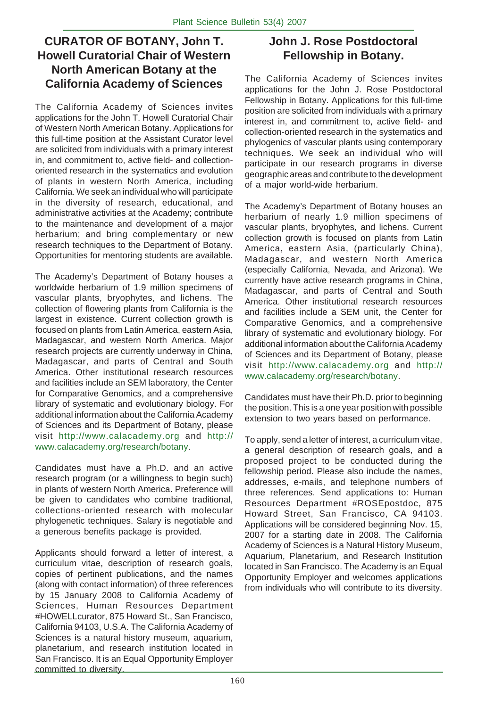# **CURATOR OF BOTANY, John T. Howell Curatorial Chair of Western North American Botany at the California Academy of Sciences**

The California Academy of Sciences invites applications for the John T. Howell Curatorial Chair of Western North American Botany. Applications for this full-time position at the Assistant Curator level are solicited from individuals with a primary interest in, and commitment to, active field- and collectionoriented research in the systematics and evolution of plants in western North America, including California. We seek an individual who will participate in the diversity of research, educational, and administrative activities at the Academy; contribute to the maintenance and development of a major herbarium; and bring complementary or new research techniques to the Department of Botany. Opportunities for mentoring students are available.

The Academy's Department of Botany houses a worldwide herbarium of 1.9 million specimens of vascular plants, bryophytes, and lichens. The collection of flowering plants from California is the largest in existence. Current collection growth is focused on plants from Latin America, eastern Asia, Madagascar, and western North America. Major research projects are currently underway in China, Madagascar, and parts of Central and South America. Other institutional research resources and facilities include an SEM laboratory, the Center for Comparative Genomics, and a comprehensive library of systematic and evolutionary biology. For additional information about the California Academy of Sciences and its Department of Botany, please visit http://www.calacademy.org and http:// www.calacademy.org/research/botany.

Candidates must have a Ph.D. and an active research program (or a willingness to begin such) in plants of western North America. Preference will be given to candidates who combine traditional, collections-oriented research with molecular phylogenetic techniques. Salary is negotiable and a generous benefits package is provided.

Applicants should forward a letter of interest, a curriculum vitae, description of research goals, copies of pertinent publications, and the names (along with contact information) of three references by 15 January 2008 to California Academy of Sciences, Human Resources Department #HOWELLcurator, 875 Howard St., San Francisco, California 94103, U.S.A. The California Academy of Sciences is a natural history museum, aquarium, planetarium, and research institution located in San Francisco. It is an Equal Opportunity Employer committed to diversity.

# **John J. Rose Postdoctoral Fellowship in Botany.**

The California Academy of Sciences invites applications for the John J. Rose Postdoctoral Fellowship in Botany. Applications for this full-time position are solicited from individuals with a primary interest in, and commitment to, active field- and collection-oriented research in the systematics and phylogenics of vascular plants using contemporary techniques. We seek an individual who will participate in our research programs in diverse geographic areas and contribute to the development of a major world-wide herbarium.

The Academy's Department of Botany houses an herbarium of nearly 1.9 million specimens of vascular plants, bryophytes, and lichens. Current collection growth is focused on plants from Latin America, eastern Asia, (particularly China), Madagascar, and western North America (especially California, Nevada, and Arizona). We currently have active research programs in China, Madagascar, and parts of Central and South America. Other institutional research resources and facilities include a SEM unit, the Center for Comparative Genomics, and a comprehensive library of systematic and evolutionary biology. For additional information about the California Academy of Sciences and its Department of Botany, please visit http://www.calacademy.org and http:// www.calacademy.org/research/botany.

Candidates must have their Ph.D. prior to beginning the position. This is a one year position with possible extension to two years based on performance.

To apply, send a letter of interest, a curriculum vitae, a general description of research goals, and a proposed project to be conducted during the fellowship period. Please also include the names, addresses, e-mails, and telephone numbers of three references. Send applications to: Human Resources Department #ROSEpostdoc, 875 Howard Street, San Francisco, CA 94103. Applications will be considered beginning Nov. 15, 2007 for a starting date in 2008. The California Academy of Sciences is a Natural History Museum, Aquarium, Planetarium, and Research Institution located in San Francisco. The Academy is an Equal Opportunity Employer and welcomes applications from individuals who will contribute to its diversity.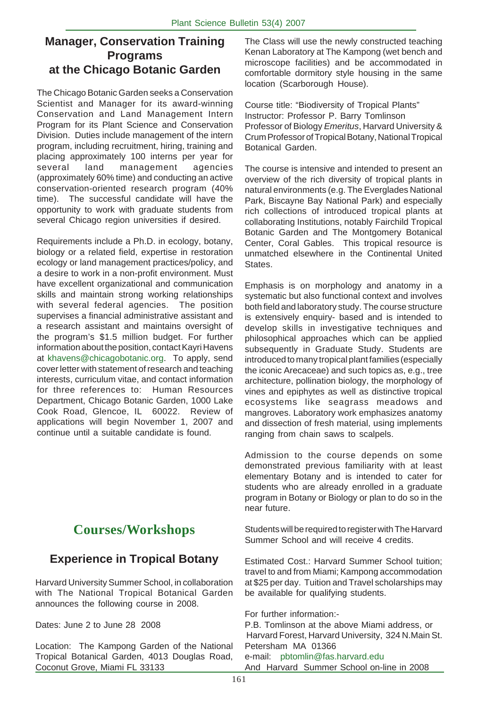# **Manager, Conservation Training Programs at the Chicago Botanic Garden**

The Chicago Botanic Garden seeks a Conservation Scientist and Manager for its award-winning Conservation and Land Management Intern Program for its Plant Science and Conservation Division. Duties include management of the intern program, including recruitment, hiring, training and placing approximately 100 interns per year for several land management agencies (approximately 60% time) and conducting an active conservation-oriented research program (40% time). The successful candidate will have the opportunity to work with graduate students from several Chicago region universities if desired.

Requirements include a Ph.D. in ecology, botany, biology or a related field, expertise in restoration ecology or land management practices/policy, and a desire to work in a non-profit environment. Must have excellent organizational and communication skills and maintain strong working relationships with several federal agencies. The position supervises a financial administrative assistant and a research assistant and maintains oversight of the program's \$1.5 million budget. For further information about the position, contact Kayri Havens at khavens@chicagobotanic.org. To apply, send cover letter with statement of research and teaching interests, curriculum vitae, and contact information for three references to: Human Resources Department, Chicago Botanic Garden, 1000 Lake Cook Road, Glencoe, IL 60022. Review of applications will begin November 1, 2007 and continue until a suitable candidate is found.

# **Courses/Workshops**

# **Experience in Tropical Botany**

Harvard University Summer School, in collaboration with The National Tropical Botanical Garden announces the following course in 2008.

Dates: June 2 to June 28 2008

Location: The Kampong Garden of the National Tropical Botanical Garden, 4013 Douglas Road, Coconut Grove, Miami FL 33133

The Class will use the newly constructed teaching Kenan Laboratory at The Kampong (wet bench and microscope facilities) and be accommodated in comfortable dormitory style housing in the same location (Scarborough House).

Course title: "Biodiversity of Tropical Plants" Instructor: Professor P. Barry Tomlinson Professor of Biology *Emeritus*, Harvard University & Crum Professor of Tropical Botany, National Tropical Botanical Garden.

The course is intensive and intended to present an overview of the rich diversity of tropical plants in natural environments (e.g. The Everglades National Park, Biscayne Bay National Park) and especially rich collections of introduced tropical plants at collaborating Institutions, notably Fairchild Tropical Botanic Garden and The Montgomery Botanical Center, Coral Gables. This tropical resource is unmatched elsewhere in the Continental United States.

Emphasis is on morphology and anatomy in a systematic but also functional context and involves both field and laboratory study. The course structure is extensively enquiry- based and is intended to develop skills in investigative techniques and philosophical approaches which can be applied subsequently in Graduate Study. Students are introduced to many tropical plant families (especially the iconic Arecaceae) and such topics as, e.g., tree architecture, pollination biology, the morphology of vines and epiphytes as well as distinctive tropical ecosystems like seagrass meadows and mangroves. Laboratory work emphasizes anatomy and dissection of fresh material, using implements ranging from chain saws to scalpels.

Admission to the course depends on some demonstrated previous familiarity with at least elementary Botany and is intended to cater for students who are already enrolled in a graduate program in Botany or Biology or plan to do so in the near future.

Students will be required to register with The Harvard Summer School and will receive 4 credits.

Estimated Cost.: Harvard Summer School tuition; travel to and from Miami; Kampong accommodation at \$25 per day. Tuition and Travel scholarships may be available for qualifying students.

For further information:-

P.B. Tomlinson at the above Miami address, or Harvard Forest, Harvard University, 324 N.Main St. Petersham MA 01366 e-mail: pbtomlin@fas.harvard.edu And Harvard Summer School on-line in 2008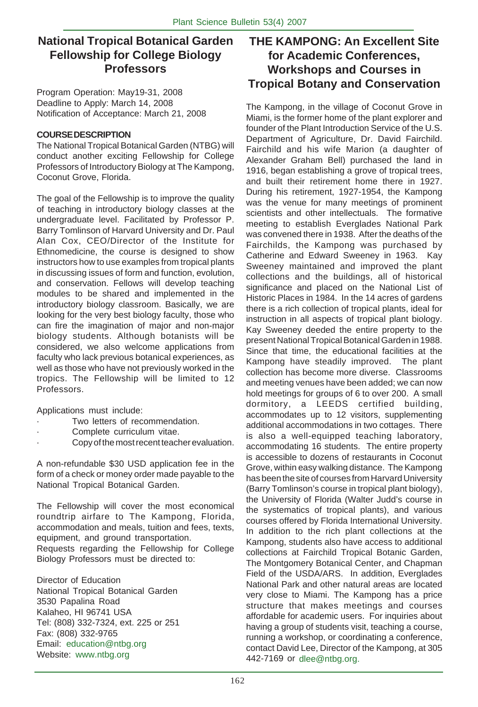# **National Tropical Botanical Garden Fellowship for College Biology Professors**

Program Operation: May19-31, 2008 Deadline to Apply: March 14, 2008 Notification of Acceptance: March 21, 2008

### **COURSE DESCRIPTION**

The National Tropical Botanical Garden (NTBG) will conduct another exciting Fellowship for College Professors of Introductory Biology at The Kampong, Coconut Grove, Florida.

The goal of the Fellowship is to improve the quality of teaching in introductory biology classes at the undergraduate level. Facilitated by Professor P. Barry Tomlinson of Harvard University and Dr. Paul Alan Cox, CEO/Director of the Institute for Ethnomedicine, the course is designed to show instructors how to use examples from tropical plants in discussing issues of form and function, evolution, and conservation. Fellows will develop teaching modules to be shared and implemented in the introductory biology classroom. Basically, we are looking for the very best biology faculty, those who can fire the imagination of major and non-major biology students. Although botanists will be considered, we also welcome applications from faculty who lack previous botanical experiences, as well as those who have not previously worked in the tropics. The Fellowship will be limited to 12 Professors.

Applications must include:

- Two letters of recommendation.
- Complete curriculum vitae.
- · Copy of the most recent teacher evaluation.

A non-refundable \$30 USD application fee in the form of a check or money order made payable to the National Tropical Botanical Garden.

The Fellowship will cover the most economical roundtrip airfare to The Kampong, Florida, accommodation and meals, tuition and fees, texts, equipment, and ground transportation.

Requests regarding the Fellowship for College Biology Professors must be directed to:

Director of Education National Tropical Botanical Garden 3530 Papalina Road Kalaheo, HI 96741 USA Tel: (808) 332-7324, ext. 225 or 251 Fax: (808) 332-9765 Email: education@ntbg.org Website: www.ntbg.org

# **THE KAMPONG: An Excellent Site for Academic Conferences, Workshops and Courses in Tropical Botany and Conservation**

The Kampong, in the village of Coconut Grove in Miami, is the former home of the plant explorer and founder of the Plant Introduction Service of the U.S. Department of Agriculture, Dr. David Fairchild. Fairchild and his wife Marion (a daughter of Alexander Graham Bell) purchased the land in 1916, began establishing a grove of tropical trees, and built their retirement home there in 1927. During his retirement, 1927-1954, the Kampong was the venue for many meetings of prominent scientists and other intellectuals. The formative meeting to establish Everglades National Park was convened there in 1938. After the deaths of the Fairchilds, the Kampong was purchased by Catherine and Edward Sweeney in 1963. Kay Sweeney maintained and improved the plant collections and the buildings, all of historical significance and placed on the National List of Historic Places in 1984. In the 14 acres of gardens there is a rich collection of tropical plants, ideal for instruction in all aspects of tropical plant biology. Kay Sweeney deeded the entire property to the present National Tropical Botanical Garden in 1988. Since that time, the educational facilities at the Kampong have steadily improved. The plant collection has become more diverse. Classrooms and meeting venues have been added; we can now hold meetings for groups of 6 to over 200. A small dormitory, a LEEDS certified building, accommodates up to 12 visitors, supplementing additional accommodations in two cottages. There is also a well-equipped teaching laboratory, accommodating 16 students. The entire property is accessible to dozens of restaurants in Coconut Grove, within easy walking distance. The Kampong has been the site of courses from Harvard University (Barry Tomlinson's course in tropical plant biology), the University of Florida (Walter Judd's course in the systematics of tropical plants), and various courses offered by Florida International University. In addition to the rich plant collections at the Kampong, students also have access to additional collections at Fairchild Tropical Botanic Garden, The Montgomery Botanical Center, and Chapman Field of the USDA/ARS. In addition, Everglades National Park and other natural areas are located very close to Miami. The Kampong has a price structure that makes meetings and courses affordable for academic users. For inquiries about having a group of students visit, teaching a course, running a workshop, or coordinating a conference, contact David Lee, Director of the Kampong, at 305 442-7169 or dlee@ntbg.org.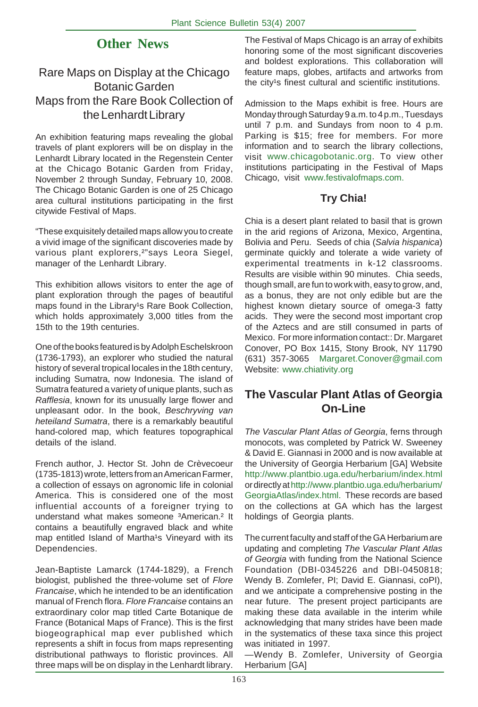# **Other News**

# Rare Maps on Display at the Chicago Botanic Garden Maps from the Rare Book Collection of the Lenhardt Library

An exhibition featuring maps revealing the global travels of plant explorers will be on display in the Lenhardt Library located in the Regenstein Center at the Chicago Botanic Garden from Friday, November 2 through Sunday, February 10, 2008. The Chicago Botanic Garden is one of 25 Chicago area cultural institutions participating in the first citywide Festival of Maps.

"These exquisitely detailed maps allow you to create a vivid image of the significant discoveries made by various plant explorers,<sup>2"</sup>says Leora Siegel, manager of the Lenhardt Library.

This exhibition allows visitors to enter the age of plant exploration through the pages of beautiful maps found in the Library<sup>1</sup>s Rare Book Collection, which holds approximately 3,000 titles from the 15th to the 19th centuries.

One of the books featured is by Adolph Eschelskroon (1736-1793), an explorer who studied the natural history of several tropical locales in the 18th century, including Sumatra, now Indonesia. The island of Sumatra featured a variety of unique plants, such as *Rafflesia*, known for its unusually large flower and unpleasant odor. In the book, *Beschryving van heteiland Sumatra*, there is a remarkably beautiful hand-colored map, which features topographical details of the island.

French author, J. Hector St. John de Crèvecoeur (1735-1813) wrote, letters from an American Farmer, a collection of essays on agronomic life in colonial America. This is considered one of the most influential accounts of a foreigner trying to understand what makes someone 3American.<sup>2</sup> It contains a beautifully engraved black and white map entitled Island of Martha<sup>1</sup>s Vineyard with its Dependencies.

Jean-Baptiste Lamarck (1744-1829), a French biologist, published the three-volume set of *Flore Francaise*, which he intended to be an identification manual of French flora. *Flore Francaise* contains an extraordinary color map titled Carte Botanique de France (Botanical Maps of France). This is the first biogeographical map ever published which represents a shift in focus from maps representing distributional pathways to floristic provinces. All three maps will be on display in the Lenhardt library.

The Festival of Maps Chicago is an array of exhibits honoring some of the most significant discoveries and boldest explorations. This collaboration will feature maps, globes, artifacts and artworks from the city<sup>1</sup>s finest cultural and scientific institutions.

Admission to the Maps exhibit is free. Hours are Monday through Saturday 9 a.m. to 4 p.m., Tuesdays until 7 p.m. and Sundays from noon to 4 p.m. Parking is \$15; free for members. For more information and to search the library collections, visit www.chicagobotanic.org. To view other institutions participating in the Festival of Maps Chicago, visit www.festivalofmaps.com.

# **Try Chia!**

Chia is a desert plant related to basil that is grown in the arid regions of Arizona, Mexico, Argentina, Bolivia and Peru. Seeds of chia (*Salvia hispanica*) germinate quickly and tolerate a wide variety of experimental treatments in k-12 classrooms. Results are visible within 90 minutes. Chia seeds, though small, are fun to work with, easy to grow, and, as a bonus, they are not only edible but are the highest known dietary source of omega-3 fatty acids. They were the second most important crop of the Aztecs and are still consumed in parts of Mexico. For more information contact:: Dr. Margaret Conover, PO Box 1415, Stony Brook, NY 11790 (631) 357-3065 Margaret.Conover@gmail.com Website: www.chiativity.org

# **The Vascular Plant Atlas of Georgia On-Line**

*The Vascular Plant Atlas of Georgia*, ferns through monocots, was completed by Patrick W. Sweeney & David E. Giannasi in 2000 and is now available at the University of Georgia Herbarium [GA] Website http://www.plantbio.uga.edu/herbarium/index.html or directly at http://www.plantbio.uga.edu/herbarium/ GeorgiaAtlas/index.html. These records are based on the collections at GA which has the largest holdings of Georgia plants.

The current faculty and staff of the GA Herbarium are updating and completing *The Vascular Plant Atlas of Georgia* with funding from the National Science Foundation (DBI-0345226 and DBI-0450818; Wendy B. Zomlefer, PI; David E. Giannasi, coPI), and we anticipate a comprehensive posting in the near future. The present project participants are making these data available in the interim while acknowledging that many strides have been made in the systematics of these taxa since this project was initiated in 1997.

—Wendy B. Zomlefer, University of Georgia Herbarium [GA]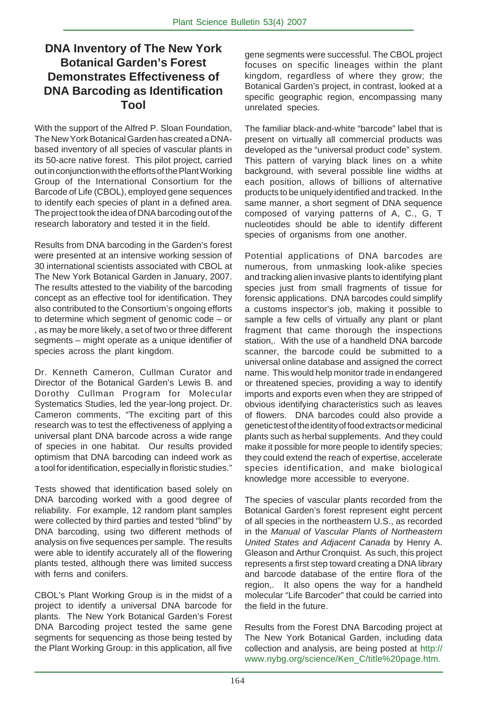# **DNA Inventory of The New York Botanical Garden's Forest Demonstrates Effectiveness of DNA Barcoding as Identification Tool**

With the support of the Alfred P. Sloan Foundation, The New York Botanical Garden has created a DNAbased inventory of all species of vascular plants in its 50-acre native forest. This pilot project, carried out in conjunction with the efforts of the Plant Working Group of the International Consortium for the Barcode of Life (CBOL), employed gene sequences to identify each species of plant in a defined area. The project took the idea of DNA barcoding out of the research laboratory and tested it in the field.

Results from DNA barcoding in the Garden's forest were presented at an intensive working session of 30 international scientists associated with CBOL at The New York Botanical Garden in January, 2007. The results attested to the viability of the barcoding concept as an effective tool for identification. They also contributed to the Consortium's ongoing efforts to determine which segment of genomic code – or , as may be more likely, a set of two or three different segments – might operate as a unique identifier of species across the plant kingdom.

Dr. Kenneth Cameron, Cullman Curator and Director of the Botanical Garden's Lewis B. and Dorothy Cullman Program for Molecular Systematics Studies, led the year-long project. Dr. Cameron comments, "The exciting part of this research was to test the effectiveness of applying a universal plant DNA barcode across a wide range of species in one habitat. Our results provided optimism that DNA barcoding can indeed work as a tool for identification, especially in floristic studies."

Tests showed that identification based solely on DNA barcoding worked with a good degree of reliability. For example, 12 random plant samples were collected by third parties and tested "blind" by DNA barcoding, using two different methods of analysis on five sequences per sample. The results were able to identify accurately all of the flowering plants tested, although there was limited success with ferns and conifers.

CBOL's Plant Working Group is in the midst of a project to identify a universal DNA barcode for plants. The New York Botanical Garden's Forest DNA Barcoding project tested the same gene segments for sequencing as those being tested by the Plant Working Group: in this application, all five

gene segments were successful. The CBOL project focuses on specific lineages within the plant kingdom, regardless of where they grow; the Botanical Garden's project, in contrast, looked at a specific geographic region, encompassing many unrelated species.

The familiar black-and-white "barcode" label that is present on virtually all commercial products was developed as the "universal product code" system. This pattern of varying black lines on a white background, with several possible line widths at each position, allows of billions of alternative products to be uniquely identified and tracked. In the same manner, a short segment of DNA sequence composed of varying patterns of A, C., G, T nucleotides should be able to identify different species of organisms from one another.

Potential applications of DNA barcodes are numerous, from unmasking look-alike species and tracking alien invasive plants to identifying plant species just from small fragments of tissue for forensic applications. DNA barcodes could simplify a customs inspector's job, making it possible to sample a few cells of virtually any plant or plant fragment that came thorough the inspections station,. With the use of a handheld DNA barcode scanner, the barcode could be submitted to a universal online database and assigned the correct name. This would help monitor trade in endangered or threatened species, providing a way to identify imports and exports even when they are stripped of obvious identifying characteristics such as leaves of flowers. DNA barcodes could also provide a genetic test of the identity of food extracts or medicinal plants such as herbal supplements. And they could make it possible for more people to identify species; they could extend the reach of expertise, accelerate species identification, and make biological knowledge more accessible to everyone.

The species of vascular plants recorded from the Botanical Garden's forest represent eight percent of all species in the northeastern U.S., as recorded in the *Manual of Vascular Plants of Northeastern United States and Adjacent Canada* by Henry A. Gleason and Arthur Cronquist. As such, this project represents a first step toward creating a DNA library and barcode database of the entire flora of the region,. It also opens the way for a handheld molecular "Life Barcoder" that could be carried into the field in the future.

Results from the Forest DNA Barcoding project at The New York Botanical Garden, including data collection and analysis, are being posted at http:// www.nybg.org/science/Ken\_C/title%20page.htm.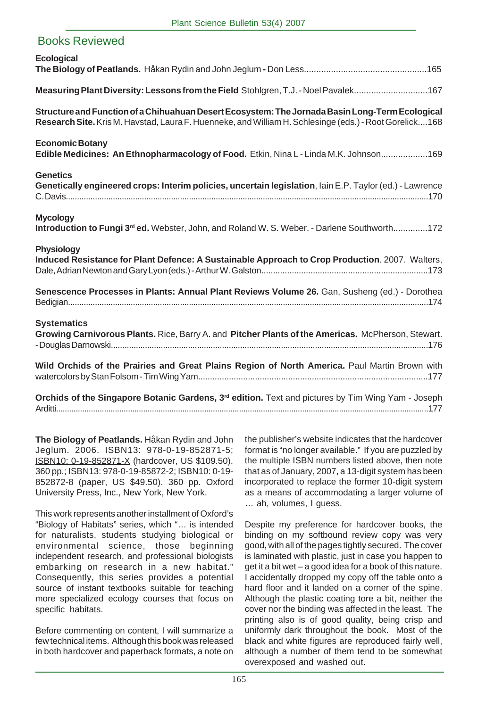| <b>Books Reviewed</b>                                                                                                                                                                                     |
|-----------------------------------------------------------------------------------------------------------------------------------------------------------------------------------------------------------|
| <b>Ecological</b>                                                                                                                                                                                         |
| Measuring Plant Diversity: Lessons from the Field Stohlgren, T.J. - Noel Pavalek167                                                                                                                       |
| Structure and Function of a Chihuahuan Desert Ecosystem: The Jornada Basin Long-Term Ecological<br>Research Site. Kris M. Havstad, Laura F. Huenneke, and William H. Schlesinge (eds.) - Root Gorelick168 |
| <b>Economic Botany</b><br>Edible Medicines: An Ethnopharmacology of Food. Etkin, Nina L - Linda M.K. Johnson169                                                                                           |
| <b>Genetics</b><br>Genetically engineered crops: Interim policies, uncertain legislation, lain E.P. Taylor (ed.) - Lawrence                                                                               |
| <b>Mycology</b><br>Introduction to Fungi 3 <sup>rd</sup> ed. Webster, John, and Roland W. S. Weber. - Darlene Southworth172                                                                               |
| <b>Physiology</b><br>Induced Resistance for Plant Defence: A Sustainable Approach to Crop Production. 2007. Walters,                                                                                      |
| Senescence Processes in Plants: Annual Plant Reviews Volume 26. Gan, Susheng (ed.) - Dorothea                                                                                                             |
| <b>Systematics</b><br>Growing Carnivorous Plants. Rice, Barry A. and Pitcher Plants of the Americas. McPherson, Stewart.                                                                                  |
| Wild Orchids of the Prairies and Great Plains Region of North America. Paul Martin Brown with                                                                                                             |
| Orchids of the Singapore Botanic Gardens, 3 <sup>rd</sup> edition. Text and pictures by Tim Wing Yam - Joseph                                                                                             |

**The Biology of Peatlands.** Håkan Rydin and John Jeglum. 2006. ISBN13: 978-0-19-852871-5; ISBN10: 0-19-852871-X (hardcover, US \$109.50). 360 pp.; ISBN13: 978-0-19-85872-2; ISBN10: 0-19- 852872-8 (paper, US \$49.50). 360 pp. Oxford University Press, Inc., New York, New York.

This work represents another installment of Oxford's "Biology of Habitats" series, which "… is intended for naturalists, students studying biological or environmental science, those beginning independent research, and professional biologists embarking on research in a new habitat." Consequently, this series provides a potential source of instant textbooks suitable for teaching more specialized ecology courses that focus on specific habitats.

Before commenting on content, I will summarize a few technical items. Although this book was released in both hardcover and paperback formats, a note on the publisher's website indicates that the hardcover format is "no longer available." If you are puzzled by the multiple ISBN numbers listed above, then note that as of January, 2007, a 13-digit system has been incorporated to replace the former 10-digit system as a means of accommodating a larger volume of … ah, volumes, I guess.

Despite my preference for hardcover books, the binding on my softbound review copy was very good, with all of the pages tightly secured. The cover is laminated with plastic, just in case you happen to get it a bit wet – a good idea for a book of this nature. I accidentally dropped my copy off the table onto a hard floor and it landed on a corner of the spine. Although the plastic coating tore a bit, neither the cover nor the binding was affected in the least. The printing also is of good quality, being crisp and uniformly dark throughout the book. Most of the black and white figures are reproduced fairly well, although a number of them tend to be somewhat overexposed and washed out.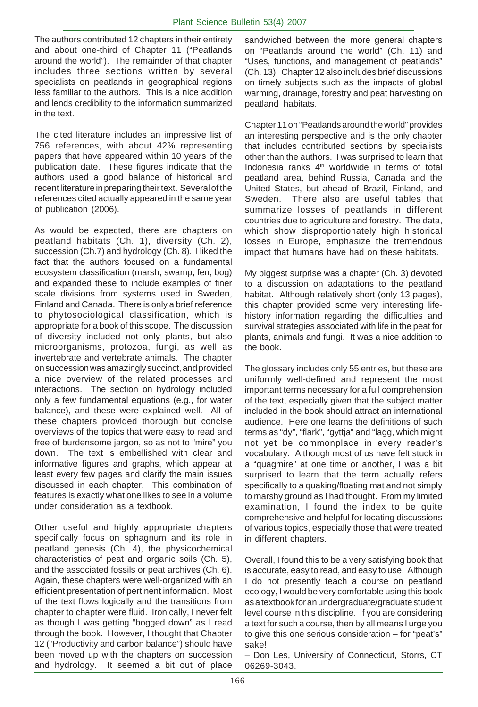The authors contributed 12 chapters in their entirety and about one-third of Chapter 11 ("Peatlands around the world"). The remainder of that chapter includes three sections written by several specialists on peatlands in geographical regions less familiar to the authors. This is a nice addition and lends credibility to the information summarized in the text.

The cited literature includes an impressive list of 756 references, with about 42% representing papers that have appeared within 10 years of the publication date. These figures indicate that the authors used a good balance of historical and recent literature in preparing their text. Several of the references cited actually appeared in the same year of publication (2006).

As would be expected, there are chapters on peatland habitats (Ch. 1), diversity (Ch. 2), succession (Ch.7) and hydrology (Ch. 8). I liked the fact that the authors focused on a fundamental ecosystem classification (marsh, swamp, fen, bog) and expanded these to include examples of finer scale divisions from systems used in Sweden, Finland and Canada. There is only a brief reference to phytosociological classification, which is appropriate for a book of this scope. The discussion of diversity included not only plants, but also microorganisms, protozoa, fungi, as well as invertebrate and vertebrate animals. The chapter on succession was amazingly succinct, and provided a nice overview of the related processes and interactions. The section on hydrology included only a few fundamental equations (e.g., for water balance), and these were explained well. All of these chapters provided thorough but concise overviews of the topics that were easy to read and free of burdensome jargon, so as not to "mire" you down. The text is embellished with clear and informative figures and graphs, which appear at least every few pages and clarify the main issues discussed in each chapter. This combination of features is exactly what one likes to see in a volume under consideration as a textbook.

Other useful and highly appropriate chapters specifically focus on sphagnum and its role in peatland genesis (Ch. 4), the physicochemical characteristics of peat and organic soils (Ch. 5), and the associated fossils or peat archives (Ch. 6). Again, these chapters were well-organized with an efficient presentation of pertinent information. Most of the text flows logically and the transitions from chapter to chapter were fluid. Ironically, I never felt as though I was getting "bogged down" as I read through the book. However, I thought that Chapter 12 ("Productivity and carbon balance") should have been moved up with the chapters on succession<br>and hydrology. It seemed a bit out of place It seemed a bit out of place

sandwiched between the more general chapters on "Peatlands around the world" (Ch. 11) and "Uses, functions, and management of peatlands" (Ch. 13). Chapter 12 also includes brief discussions on timely subjects such as the impacts of global warming, drainage, forestry and peat harvesting on peatland habitats.

Chapter 11 on "Peatlands around the world" provides an interesting perspective and is the only chapter that includes contributed sections by specialists other than the authors. I was surprised to learn that Indonesia ranks  $4<sup>th</sup>$  worldwide in terms of total peatland area, behind Russia, Canada and the United States, but ahead of Brazil, Finland, and Sweden. There also are useful tables that summarize losses of peatlands in different countries due to agriculture and forestry. The data, which show disproportionately high historical losses in Europe, emphasize the tremendous impact that humans have had on these habitats.

My biggest surprise was a chapter (Ch. 3) devoted to a discussion on adaptations to the peatland habitat. Although relatively short (only 13 pages), this chapter provided some very interesting lifehistory information regarding the difficulties and survival strategies associated with life in the peat for plants, animals and fungi. It was a nice addition to the book.

The glossary includes only 55 entries, but these are uniformly well-defined and represent the most important terms necessary for a full comprehension of the text, especially given that the subject matter included in the book should attract an international audience. Here one learns the definitions of such terms as "dy", "flark", "gyttja" and "lagg, which might not yet be commonplace in every reader's vocabulary. Although most of us have felt stuck in a "quagmire" at one time or another, I was a bit surprised to learn that the term actually refers specifically to a quaking/floating mat and not simply to marshy ground as I had thought. From my limited examination, I found the index to be quite comprehensive and helpful for locating discussions of various topics, especially those that were treated in different chapters.

Overall, I found this to be a very satisfying book that is accurate, easy to read, and easy to use. Although I do not presently teach a course on peatland ecology, I would be very comfortable using this book as a textbook for an undergraduate/graduate student level course in this discipline. If you are considering a text for such a course, then by all means I urge you to give this one serious consideration – for "peat's" sake!

– Don Les, University of Connecticut, Storrs, CT 06269-3043.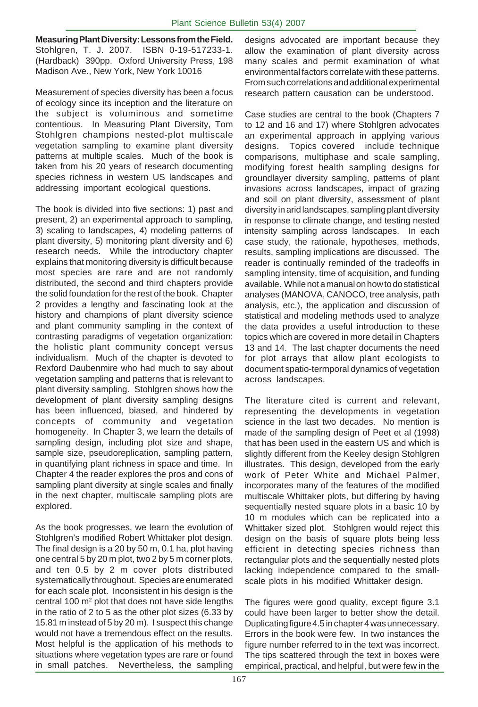**Measuring Plant Diversity: Lessons from the Field.** Stohlgren, T. J. 2007. ISBN 0-19-517233-1. (Hardback) 390pp. Oxford University Press, 198 Madison Ave., New York, New York 10016

Measurement of species diversity has been a focus of ecology since its inception and the literature on the subject is voluminous and sometime contentious. In Measuring Plant Diversity, Tom Stohlgren champions nested-plot multiscale vegetation sampling to examine plant diversity patterns at multiple scales. Much of the book is taken from his 20 years of research documenting species richness in western US landscapes and addressing important ecological questions.

The book is divided into five sections: 1) past and present, 2) an experimental approach to sampling, 3) scaling to landscapes, 4) modeling patterns of plant diversity, 5) monitoring plant diversity and 6) research needs. While the introductory chapter explains that monitoring diversity is difficult because most species are rare and are not randomly distributed, the second and third chapters provide the solid foundation for the rest of the book. Chapter 2 provides a lengthy and fascinating look at the history and champions of plant diversity science and plant community sampling in the context of contrasting paradigms of vegetation organization: the holistic plant community concept versus individualism. Much of the chapter is devoted to Rexford Daubenmire who had much to say about vegetation sampling and patterns that is relevant to plant diversity sampling. Stohlgren shows how the development of plant diversity sampling designs has been influenced, biased, and hindered by concepts of community and vegetation homogeneity. In Chapter 3, we learn the details of sampling design, including plot size and shape, sample size, pseudoreplication, sampling pattern, in quantifying plant richness in space and time. In Chapter 4 the reader explores the pros and cons of sampling plant diversity at single scales and finally in the next chapter, multiscale sampling plots are explored.

As the book progresses, we learn the evolution of Stohlgren's modified Robert Whittaker plot design. The final design is a 20 by 50 m, 0.1 ha, plot having one central 5 by 20 m plot, two 2 by 5 m corner plots, and ten 0.5 by 2 m cover plots distributed systematically throughout. Species are enumerated for each scale plot. Inconsistent in his design is the central 100  $m<sup>2</sup>$  plot that does not have side lengths in the ratio of 2 to 5 as the other plot sizes (6.33 by 15.81 m instead of 5 by 20 m). I suspect this change would not have a tremendous effect on the results. Most helpful is the application of his methods to situations where vegetation types are rare or found in small patches. Nevertheless, the sampling

designs advocated are important because they allow the examination of plant diversity across many scales and permit examination of what environmental factors correlate with these patterns. From such correlations and additional experimental research pattern causation can be understood.

Case studies are central to the book (Chapters 7 to 12 and 16 and 17) where Stohlgren advocates an experimental approach in applying various designs. Topics covered include technique comparisons, multiphase and scale sampling, modifying forest health sampling designs for groundlayer diversity sampling, patterns of plant invasions across landscapes, impact of grazing and soil on plant diversity, assessment of plant diversity in arid landscapes, sampling plant diversity in response to climate change, and testing nested intensity sampling across landscapes. In each case study, the rationale, hypotheses, methods, results, sampling implications are discussed. The reader is continually reminded of the tradeoffs in sampling intensity, time of acquisition, and funding available. While not a manual on how to do statistical analyses (MANOVA, CANOCO, tree analysis, path analysis, etc.), the application and discussion of statistical and modeling methods used to analyze the data provides a useful introduction to these topics which are covered in more detail in Chapters 13 and 14. The last chapter documents the need for plot arrays that allow plant ecologists to document spatio-termporal dynamics of vegetation across landscapes.

The literature cited is current and relevant, representing the developments in vegetation science in the last two decades. No mention is made of the sampling design of Peet et al (1998) that has been used in the eastern US and which is slightly different from the Keeley design Stohlgren illustrates. This design, developed from the early work of Peter White and Michael Palmer, incorporates many of the features of the modified multiscale Whittaker plots, but differing by having sequentially nested square plots in a basic 10 by 10 m modules which can be replicated into a Whittaker sized plot. Stohlgren would reject this design on the basis of square plots being less efficient in detecting species richness than rectangular plots and the sequentially nested plots lacking independence compared to the smallscale plots in his modified Whittaker design.

The figures were good quality, except figure 3.1 could have been larger to better show the detail. Duplicating figure 4.5 in chapter 4 was unnecessary. Errors in the book were few. In two instances the figure number referred to in the text was incorrect. The tips scattered through the text in boxes were empirical, practical, and helpful, but were few in the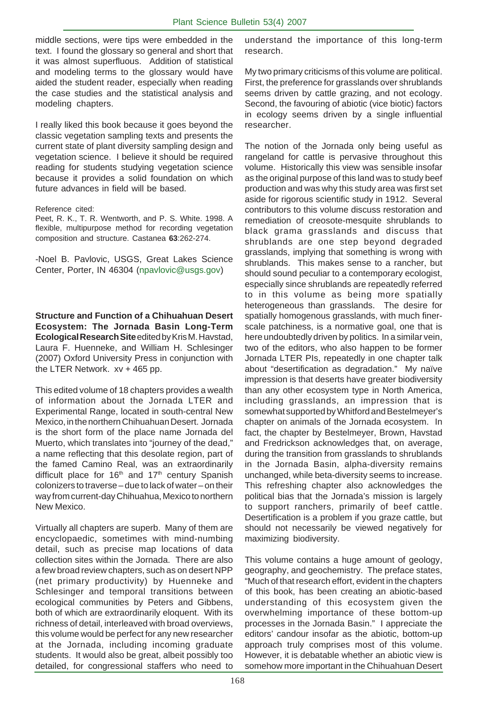middle sections, were tips were embedded in the text. I found the glossary so general and short that it was almost superfluous. Addition of statistical and modeling terms to the glossary would have aided the student reader, especially when reading the case studies and the statistical analysis and modeling chapters.

I really liked this book because it goes beyond the classic vegetation sampling texts and presents the current state of plant diversity sampling design and vegetation science. I believe it should be required reading for students studying vegetation science because it provides a solid foundation on which future advances in field will be based.

#### Reference cited:

Peet, R. K., T. R. Wentworth, and P. S. White. 1998. A flexible, multipurpose method for recording vegetation composition and structure. Castanea **63**:262-274.

-Noel B. Pavlovic, USGS, Great Lakes Science Center, Porter, IN 46304 (npavlovic@usgs.gov)

**Structure and Function of a Chihuahuan Desert Ecosystem: The Jornada Basin Long-Term Ecological Research Site** edited by Kris M. Havstad, Laura F. Huenneke, and William H. Schlesinger (2007) Oxford University Press in conjunction with the LTER Network. xv + 465 pp.

This edited volume of 18 chapters provides a wealth of information about the Jornada LTER and Experimental Range, located in south-central New Mexico, in the northern Chihuahuan Desert. Jornada is the short form of the place name Jornada del Muerto, which translates into "journey of the dead," a name reflecting that this desolate region, part of the famed Camino Real, was an extraordinarily difficult place for  $16<sup>th</sup>$  and  $17<sup>th</sup>$  century Spanish colonizers to traverse – due to lack of water – on their way from current-day Chihuahua, Mexico to northern New Mexico.

Virtually all chapters are superb. Many of them are encyclopaedic, sometimes with mind-numbing detail, such as precise map locations of data collection sites within the Jornada. There are also a few broad review chapters, such as on desert NPP (net primary productivity) by Huenneke and Schlesinger and temporal transitions between ecological communities by Peters and Gibbens, both of which are extraordinarily eloquent. With its richness of detail, interleaved with broad overviews, this volume would be perfect for any new researcher at the Jornada, including incoming graduate students. It would also be great, albeit possibly too detailed, for congressional staffers who need to

understand the importance of this long-term research.

My two primary criticisms of this volume are political. First, the preference for grasslands over shrublands seems driven by cattle grazing, and not ecology. Second, the favouring of abiotic (vice biotic) factors in ecology seems driven by a single influential researcher.

The notion of the Jornada only being useful as rangeland for cattle is pervasive throughout this volume. Historically this view was sensible insofar as the original purpose of this land was to study beef production and was why this study area was first set aside for rigorous scientific study in 1912. Several contributors to this volume discuss restoration and remediation of creosote-mesquite shrublands to black grama grasslands and discuss that shrublands are one step beyond degraded grasslands, implying that something is wrong with shrublands. This makes sense to a rancher, but should sound peculiar to a contemporary ecologist, especially since shrublands are repeatedly referred to in this volume as being more spatially heterogeneous than grasslands. The desire for spatially homogenous grasslands, with much finerscale patchiness, is a normative goal, one that is here undoubtedly driven by politics. In a similar vein, two of the editors, who also happen to be former Jornada LTER PIs, repeatedly in one chapter talk about "desertification as degradation." My naïve impression is that deserts have greater biodiversity than any other ecosystem type in North America, including grasslands, an impression that is somewhat supported by Whitford and Bestelmeyer's chapter on animals of the Jornada ecosystem. In fact, the chapter by Bestelmeyer, Brown, Havstad and Fredrickson acknowledges that, on average, during the transition from grasslands to shrublands in the Jornada Basin, alpha-diversity remains unchanged, while beta-diversity seems to increase. This refreshing chapter also acknowledges the political bias that the Jornada's mission is largely to support ranchers, primarily of beef cattle. Desertification is a problem if you graze cattle, but should not necessarily be viewed negatively for maximizing biodiversity.

This volume contains a huge amount of geology, geography, and geochemistry. The preface states, "Much of that research effort, evident in the chapters of this book, has been creating an abiotic-based understanding of this ecosystem given the overwhelming importance of these bottom-up processes in the Jornada Basin." I appreciate the editors' candour insofar as the abiotic, bottom-up approach truly comprises most of this volume. However, it is debatable whether an abiotic view is somehow more important in the Chihuahuan Desert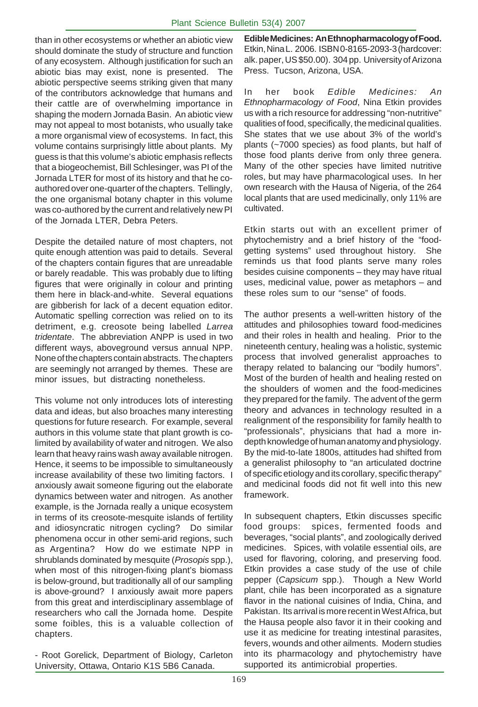than in other ecosystems or whether an abiotic view should dominate the study of structure and function of any ecosystem. Although justification for such an abiotic bias may exist, none is presented. The abiotic perspective seems striking given that many of the contributors acknowledge that humans and their cattle are of overwhelming importance in shaping the modern Jornada Basin. An abiotic view may not appeal to most botanists, who usually take a more organismal view of ecosystems. In fact, this volume contains surprisingly little about plants. My guess is that this volume's abiotic emphasis reflects that a biogeochemist, Bill Schlesinger, was PI of the Jornada LTER for most of its history and that he coauthored over one-quarter of the chapters. Tellingly, the one organismal botany chapter in this volume was co-authored by the current and relatively new PI of the Jornada LTER, Debra Peters.

Despite the detailed nature of most chapters, not quite enough attention was paid to details. Several of the chapters contain figures that are unreadable or barely readable. This was probably due to lifting figures that were originally in colour and printing them here in black-and-white. Several equations are gibberish for lack of a decent equation editor. Automatic spelling correction was relied on to its detriment, e.g. creosote being labelled *Larrea tridentate*. The abbreviation ANPP is used in two different ways, aboveground versus annual NPP. None of the chapters contain abstracts. The chapters are seemingly not arranged by themes. These are minor issues, but distracting nonetheless.

This volume not only introduces lots of interesting data and ideas, but also broaches many interesting questions for future research. For example, several authors in this volume state that plant growth is colimited by availability of water and nitrogen. We also learn that heavy rains wash away available nitrogen. Hence, it seems to be impossible to simultaneously increase availability of these two limiting factors. I anxiously await someone figuring out the elaborate dynamics between water and nitrogen. As another example, is the Jornada really a unique ecosystem in terms of its creosote-mesquite islands of fertility and idiosyncratic nitrogen cycling? Do similar phenomena occur in other semi-arid regions, such as Argentina? How do we estimate NPP in shrublands dominated by mesquite (*Prosopis* spp.), when most of this nitrogen-fixing plant's biomass is below-ground, but traditionally all of our sampling is above-ground? I anxiously await more papers from this great and interdisciplinary assemblage of researchers who call the Jornada home. Despite some foibles, this is a valuable collection of chapters.

- Root Gorelick, Department of Biology, Carleton University, Ottawa, Ontario K1S 5B6 Canada.

**Edible Medicines: An Ethnopharmacology of Food.** Etkin, Nina L. 2006. ISBN 0-8165-2093-3 (hardcover: alk. paper, US \$50.00). 304 pp. University of Arizona Press. Tucson, Arizona, USA.

In her book *Edible Medicines: An Ethnopharmacology of Food*, Nina Etkin provides us with a rich resource for addressing "non-nutritive" qualities of food, specifically, the medicinal qualities. She states that we use about 3% of the world's plants (~7000 species) as food plants, but half of those food plants derive from only three genera. Many of the other species have limited nutritive roles, but may have pharmacological uses. In her own research with the Hausa of Nigeria, of the 264 local plants that are used medicinally, only 11% are cultivated.

Etkin starts out with an excellent primer of phytochemistry and a brief history of the "foodgetting systems" used throughout history. She reminds us that food plants serve many roles besides cuisine components – they may have ritual uses, medicinal value, power as metaphors – and these roles sum to our "sense" of foods.

The author presents a well-written history of the attitudes and philosophies toward food-medicines and their roles in health and healing. Prior to the nineteenth century, healing was a holistic, systemic process that involved generalist approaches to therapy related to balancing our "bodily humors". Most of the burden of health and healing rested on the shoulders of women and the food-medicines they prepared for the family. The advent of the germ theory and advances in technology resulted in a realignment of the responsibility for family health to "professionals", physicians that had a more indepth knowledge of human anatomy and physiology. By the mid-to-late 1800s, attitudes had shifted from a generalist philosophy to "an articulated doctrine of specific etiology and its corollary, specific therapy" and medicinal foods did not fit well into this new framework.

In subsequent chapters, Etkin discusses specific food groups: spices, fermented foods and beverages, "social plants", and zoologically derived medicines. Spices, with volatile essential oils, are used for flavoring, coloring, and preserving food. Etkin provides a case study of the use of chile pepper (*Capsicum* spp.). Though a New World plant, chile has been incorporated as a signature flavor in the national cuisines of India, China, and Pakistan. Its arrival is more recent in West Africa, but the Hausa people also favor it in their cooking and use it as medicine for treating intestinal parasites, fevers, wounds and other ailments. Modern studies into its pharmacology and phytochemistry have supported its antimicrobial properties.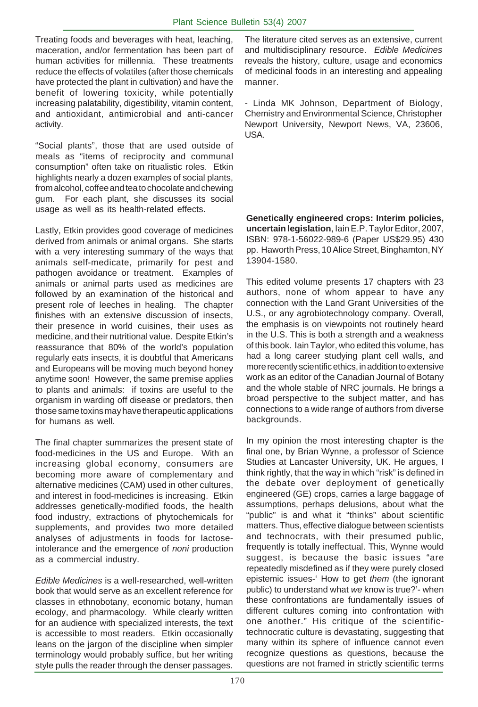Treating foods and beverages with heat, leaching, maceration, and/or fermentation has been part of human activities for millennia. These treatments reduce the effects of volatiles (after those chemicals have protected the plant in cultivation) and have the benefit of lowering toxicity, while potentially increasing palatability, digestibility, vitamin content, and antioxidant, antimicrobial and anti-cancer activity.

"Social plants", those that are used outside of meals as "items of reciprocity and communal consumption" often take on ritualistic roles. Etkin highlights nearly a dozen examples of social plants, from alcohol, coffee and tea to chocolate and chewing gum. For each plant, she discusses its social usage as well as its health-related effects.

Lastly, Etkin provides good coverage of medicines derived from animals or animal organs. She starts with a very interesting summary of the ways that animals self-medicate, primarily for pest and pathogen avoidance or treatment. Examples of animals or animal parts used as medicines are followed by an examination of the historical and present role of leeches in healing. The chapter finishes with an extensive discussion of insects, their presence in world cuisines, their uses as medicine, and their nutritional value. Despite Etkin's reassurance that 80% of the world's population regularly eats insects, it is doubtful that Americans and Europeans will be moving much beyond honey anytime soon! However, the same premise applies to plants and animals: if toxins are useful to the organism in warding off disease or predators, then those same toxins may have therapeutic applications for humans as well.

The final chapter summarizes the present state of food-medicines in the US and Europe. With an increasing global economy, consumers are becoming more aware of complementary and alternative medicines (CAM) used in other cultures, and interest in food-medicines is increasing. Etkin addresses genetically-modified foods, the health food industry, extractions of phytochemicals for supplements, and provides two more detailed analyses of adjustments in foods for lactoseintolerance and the emergence of *noni* production as a commercial industry.

*Edible Medicines* is a well-researched, well-written book that would serve as an excellent reference for classes in ethnobotany, economic botany, human ecology, and pharmacology. While clearly written for an audience with specialized interests, the text is accessible to most readers. Etkin occasionally leans on the jargon of the discipline when simpler terminology would probably suffice, but her writing style pulls the reader through the denser passages.

The literature cited serves as an extensive, current and multidisciplinary resource. *Edible Medicines* reveals the history, culture, usage and economics of medicinal foods in an interesting and appealing manner.

- Linda MK Johnson, Department of Biology, Chemistry and Environmental Science, Christopher Newport University, Newport News, VA, 23606, USA.

**Genetically engineered crops: Interim policies, uncertain legislation**, Iain E.P. Taylor Editor, 2007, ISBN: 978-1-56022-989-6 (Paper US\$29.95) 430 pp. Haworth Press, 10 Alice Street, Binghamton, NY 13904-1580.

This edited volume presents 17 chapters with 23 authors, none of whom appear to have any connection with the Land Grant Universities of the U.S., or any agrobiotechnology company. Overall, the emphasis is on viewpoints not routinely heard in the U.S. This is both a strength and a weakness of this book. Iain Taylor, who edited this volume, has had a long career studying plant cell walls, and more recently scientific ethics, in addition to extensive work as an editor of the Canadian Journal of Botany and the whole stable of NRC journals. He brings a broad perspective to the subject matter, and has connections to a wide range of authors from diverse backgrounds.

In my opinion the most interesting chapter is the final one, by Brian Wynne, a professor of Science Studies at Lancaster University, UK. He argues, I think rightly, that the way in which "risk" is defined in the debate over deployment of genetically engineered (GE) crops, carries a large baggage of assumptions, perhaps delusions, about what the "public" is and what it "thinks" about scientific matters. Thus, effective dialogue between scientists and technocrats, with their presumed public, frequently is totally ineffectual. This, Wynne would suggest, is because the basic issues "are repeatedly misdefined as if they were purely closed epistemic issues-' How to get *them* (the ignorant public) to understand what *we* know is true?'- when these confrontations are fundamentally issues of different cultures coming into confrontation with one another." His critique of the scientifictechnocratic culture is devastating, suggesting that many within its sphere of influence cannot even recognize questions as questions, because the questions are not framed in strictly scientific terms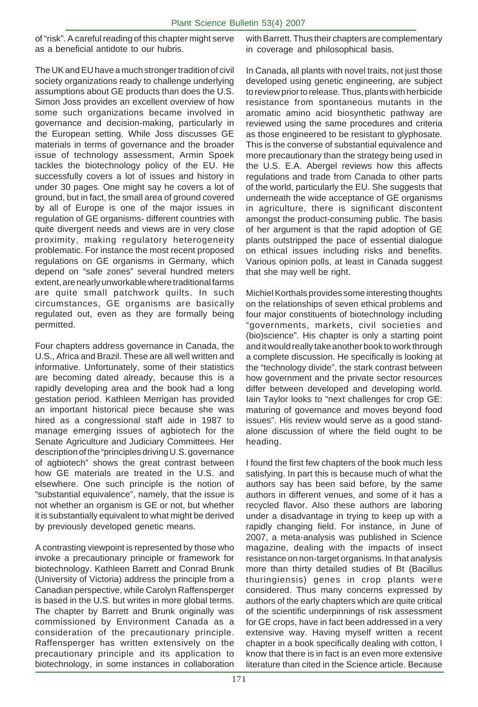of "risk". A careful reading of this chapter might serve as a beneficial antidote to our hubris.

The UK and EU have a much stronger tradition of civil society organizations ready to challenge underlying assumptions about GE products than does the U.S. Simon Joss provides an excellent overview of how some such organizations became involved in governance and decision-making, particularly in the European setting. While Joss discusses GE materials in terms of governance and the broader issue of technology assessment, Armin Spoek tackles the biotechnology policy of the EU. He successfully covers a lot of issues and history in under 30 pages. One might say he covers a lot of ground, but in fact, the small area of ground covered by all of Europe is one of the major issues in regulation of GE organisms- different countries with quite divergent needs and views are in very close proximity, making regulatory heterogeneity problematic. For instance the most recent proposed regulations on GE organisms in Germany, which depend on "safe zones" several hundred meters extent, are nearly unworkable where traditional farms are quite small patchwork quilts. In such circumstances, GE organisms are basically regulated out, even as they are formally being permitted.

Four chapters address governance in Canada, the U.S., Africa and Brazil. These are all well written and informative. Unfortunately, some of their statistics are becoming dated already, because this is a rapidly developing area and the book had a long gestation period. Kathleen Merrigan has provided an important historical piece because she was hired as a congressional staff aide in 1987 to manage emerging issues of agbiotech for the Senate Agriculture and Judiciary Committees. Her description of the "principles driving U.S. governance of agbiotech" shows the great contrast between how GE materials are treated in the U.S. and elsewhere. One such principle is the notion of "substantial equivalence", namely, that the issue is not whether an organism is GE or not, but whether it is substantially equivalent to what might be derived by previously developed genetic means.

A contrasting viewpoint is represented by those who invoke a precautionary principle or framework for biotechnology. Kathleen Barrett and Conrad Brunk (University of Victoria) address the principle from a Canadian perspective, while Carolyn Raffensperger is based in the U.S. but writes in more global terms. The chapter by Barrett and Brunk originally was commissioned by Environment Canada as a consideration of the precautionary principle. Raffensperger has written extensively on the precautionary principle and its application to biotechnology, in some instances in collaboration

with Barrett. Thus their chapters are complementary in coverage and philosophical basis.

In Canada, all plants with novel traits, not just those developed using genetic engineering, are subject to review prior to release. Thus, plants with herbicide resistance from spontaneous mutants in the aromatic amino acid biosynthetic pathway are reviewed using the same procedures and criteria as those engineered to be resistant to glyphosate. This is the converse of substantial equivalence and more precautionary than the strategy being used in the U.S. E.A. Abergel reviews how this affects regulations and trade from Canada to other parts of the world, particularly the EU. She suggests that underneath the wide acceptance of GE organisms in agriculture, there is significant discontent amongst the product-consuming public. The basis of her argument is that the rapid adoption of GE plants outstripped the pace of essential dialogue on ethical issues including risks and benefits. Various opinion polls, at least in Canada suggest that she may well be right.

Michiel Korthals provides some interesting thoughts on the relationships of seven ethical problems and four major constituents of biotechnology including "governments, markets, civil societies and (bio)science". His chapter is only a starting point and it would really take another book to work through a complete discussion. He specifically is looking at the "technology divide", the stark contrast between how government and the private sector resources differ between developed and developing world. Iain Taylor looks to "next challenges for crop GE: maturing of governance and moves beyond food issues". His review would serve as a good standalone discussion of where the field ought to be heading.

I found the first few chapters of the book much less satisfying. In part this is because much of what the authors say has been said before, by the same authors in different venues, and some of it has a recycled flavor. Also these authors are laboring under a disadvantage in trying to keep up with a rapidly changing field. For instance, in June of 2007, a meta-analysis was published in Science magazine, dealing with the impacts of insect resistance on non-target organisms. In that analysis more than thirty detailed studies of Bt (Bacillus thuringiensis) genes in crop plants were considered. Thus many concerns expressed by authors of the early chapters which are quite critical of the scientific underpinnings of risk assessment for GE crops, have in fact been addressed in a very extensive way. Having myself written a recent chapter in a book specifically dealing with cotton, I know that there is in fact is an even more extensive literature than cited in the Science article. Because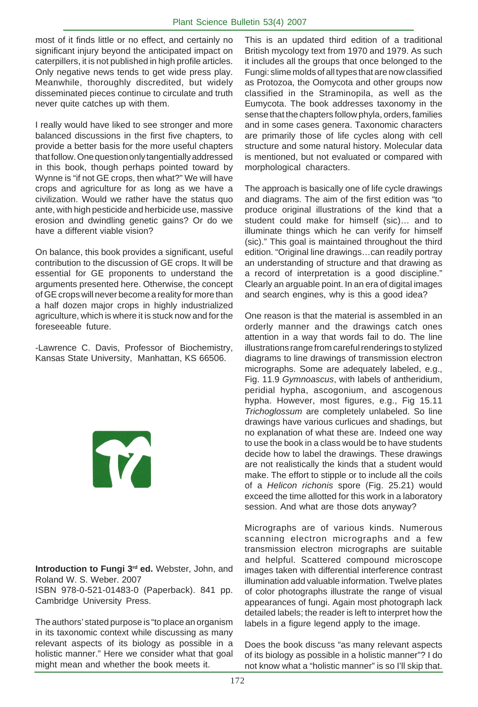most of it finds little or no effect, and certainly no significant injury beyond the anticipated impact on caterpillers, it is not published in high profile articles. Only negative news tends to get wide press play. Meanwhile, thoroughly discredited, but widely disseminated pieces continue to circulate and truth never quite catches up with them.

I really would have liked to see stronger and more balanced discussions in the first five chapters, to provide a better basis for the more useful chapters that follow. One question only tangentially addressed in this book, though perhaps pointed toward by Wynne is "if not GE crops, then what?" We will have crops and agriculture for as long as we have a civilization. Would we rather have the status quo ante, with high pesticide and herbicide use, massive erosion and dwindling genetic gains? Or do we have a different viable vision?

On balance, this book provides a significant, useful contribution to the discussion of GE crops. It will be essential for GE proponents to understand the arguments presented here. Otherwise, the concept of GE crops will never become a reality for more than a half dozen major crops in highly industrialized agriculture, which is where it is stuck now and for the foreseeable future.

-Lawrence C. Davis, Professor of Biochemistry, Kansas State University, Manhattan, KS 66506.

T

**Introduction to Fungi 3rd ed.** Webster, John, and Roland W. S. Weber. 2007

ISBN 978-0-521-01483-0 (Paperback). 841 pp. Cambridge University Press.

The authors' stated purpose is "to place an organism in its taxonomic context while discussing as many relevant aspects of its biology as possible in a holistic manner." Here we consider what that goal might mean and whether the book meets it.

This is an updated third edition of a traditional British mycology text from 1970 and 1979. As such it includes all the groups that once belonged to the Fungi: slime molds of all types that are now classified as Protozoa, the Oomycota and other groups now classified in the Straminopila, as well as the Eumycota. The book addresses taxonomy in the sense that the chapters follow phyla, orders, families and in some cases genera. Taxonomic characters are primarily those of life cycles along with cell structure and some natural history. Molecular data is mentioned, but not evaluated or compared with morphological characters.

The approach is basically one of life cycle drawings and diagrams. The aim of the first edition was "to produce original illustrations of the kind that a student could make for himself (sic)… and to illuminate things which he can verify for himself (sic)." This goal is maintained throughout the third edition. "Original line drawings…can readily portray an understanding of structure and that drawing as a record of interpretation is a good discipline." Clearly an arguable point. In an era of digital images and search engines, why is this a good idea?

One reason is that the material is assembled in an orderly manner and the drawings catch ones attention in a way that words fail to do. The line illustrations range from careful renderings to stylized diagrams to line drawings of transmission electron micrographs. Some are adequately labeled, e.g., Fig. 11.9 *Gymnoascus*, with labels of antheridium, peridial hypha, ascogonium, and ascogenous hypha. However, most figures, e.g., Fig 15.11 *Trichoglossum* are completely unlabeled. So line drawings have various curlicues and shadings, but no explanation of what these are. Indeed one way to use the book in a class would be to have students decide how to label the drawings. These drawings are not realistically the kinds that a student would make. The effort to stipple or to include all the coils of a *Helicon richonis* spore (Fig. 25.21) would exceed the time allotted for this work in a laboratory session. And what are those dots anyway?

Micrographs are of various kinds. Numerous scanning electron micrographs and a few transmission electron micrographs are suitable and helpful. Scattered compound microscope images taken with differential interference contrast illumination add valuable information. Twelve plates of color photographs illustrate the range of visual appearances of fungi. Again most photograph lack detailed labels; the reader is left to interpret how the labels in a figure legend apply to the image.

Does the book discuss "as many relevant aspects of its biology as possible in a holistic manner"? I do not know what a "holistic manner" is so I'll skip that.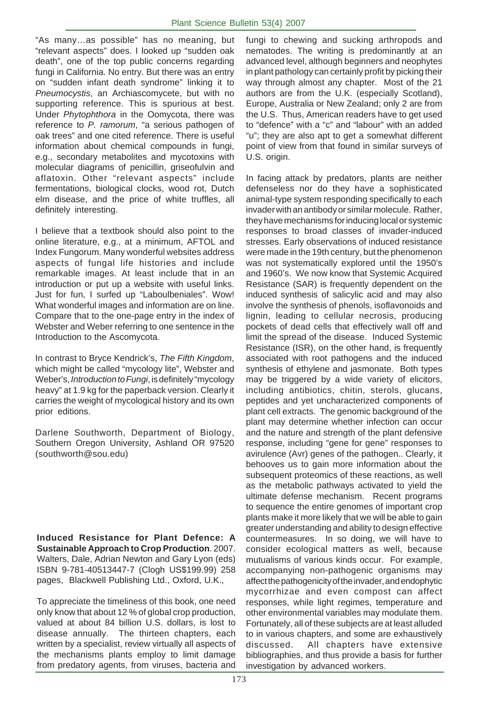"As many…as possible" has no meaning, but "relevant aspects" does. I looked up "sudden oak death", one of the top public concerns regarding fungi in California. No entry. But there was an entry on "sudden infant death syndrome" linking it to *Pneumocystis*, an Archiascomycete, but with no supporting reference. This is spurious at best. Under *Phytophthora* in the Oomycota, there was reference to *P. ramorum*, "a serious pathogen of oak trees" and one cited reference. There is useful information about chemical compounds in fungi, e.g., secondary metabolites and mycotoxins with molecular diagrams of penicillin, griseofulvin and aflatoxin. Other "relevant aspects" include fermentations, biological clocks, wood rot, Dutch elm disease, and the price of white truffles, all definitely interesting.

I believe that a textbook should also point to the online literature, e.g., at a minimum, AFTOL and Index Fungorum. Many wonderful websites address aspects of fungal life histories and include remarkable images. At least include that in an introduction or put up a website with useful links. Just for fun, I surfed up "Laboulbeniales". Wow! What wonderful images and information are on line. Compare that to the one-page entry in the index of Webster and Weber referring to one sentence in the Introduction to the Ascomycota.

In contrast to Bryce Kendrick's, *The Fifth Kingdom*, which might be called "mycology lite", Webster and Weber's, *Introduction to Fungi*, is definitely "mycology heavy" at 1.9 kg for the paperback version. Clearly it carries the weight of mycological history and its own prior editions.

Darlene Southworth, Department of Biology, Southern Oregon University, Ashland OR 97520 (southworth@sou.edu)

**Induced Resistance for Plant Defence: A Sustainable Approach to Crop Production**. 2007. Walters, Dale, Adrian Newton and Gary Lyon (eds) ISBN 9-781-40513447-7 (Clogh US\$199.99) 258 pages, Blackwell Publishing Ltd., Oxford, U.K.,

To appreciate the timeliness of this book, one need only know that about 12 % of global crop production, valued at about 84 billion U.S. dollars, is lost to disease annually. The thirteen chapters, each written by a specialist, review virtually all aspects of the mechanisms plants employ to limit damage from predatory agents, from viruses, bacteria and fungi to chewing and sucking arthropods and nematodes. The writing is predominantly at an advanced level, although beginners and neophytes in plant pathology can certainly profit by picking their way through almost any chapter. Most of the 21 authors are from the U.K. (especially Scotland), Europe, Australia or New Zealand; only 2 are from the U.S. Thus, American readers have to get used to "defence" with a "c" and "labour" with an added "u"; they are also apt to get a somewhat different point of view from that found in similar surveys of U.S. origin.

In facing attack by predators, plants are neither defenseless nor do they have a sophisticated animal-type system responding specifically to each invader with an antibody or similar molecule. Rather, they have mechanisms for inducing local or systemic responses to broad classes of invader-induced stresses. Early observations of induced resistance were made in the 19th century, but the phenomenon was not systematically explored until the 1950's and 1960's. We now know that Systemic Acquired Resistance (SAR) is frequently dependent on the induced synthesis of salicylic acid and may also involve the synthesis of phenols, isoflavonoids and lignin, leading to cellular necrosis, producing pockets of dead cells that effectively wall off and limit the spread of the disease. Induced Systemic Resistance (ISR), on the other hand, is frequently associated with root pathogens and the induced synthesis of ethylene and jasmonate. Both types may be triggered by a wide variety of elicitors, including antibiotics, chitin, sterols, glucans, peptides and yet uncharacterized components of plant cell extracts. The genomic background of the plant may determine whether infection can occur and the nature and strength of the plant defensive response, including "gene for gene" responses to avirulence (Avr) genes of the pathogen.. Clearly, it behooves us to gain more information about the subsequent proteomics of these reactions, as well as the metabolic pathways activated to yield the ultimate defense mechanism. Recent programs to sequence the entire genomes of important crop plants make it more likely that we will be able to gain greater understanding and ability to design effective countermeasures. In so doing, we will have to consider ecological matters as well, because mutualisms of various kinds occur. For example, accompanying non-pathogenic organisms may affect the pathogenicity of the invader, and endophytic mycorrhizae and even compost can affect responses, while light regimes, temperature and other environmental variables may modulate them. Fortunately, all of these subjects are at least alluded to in various chapters, and some are exhaustively discussed. All chapters have extensive bibliographies, and thus provide a basis for further investigation by advanced workers.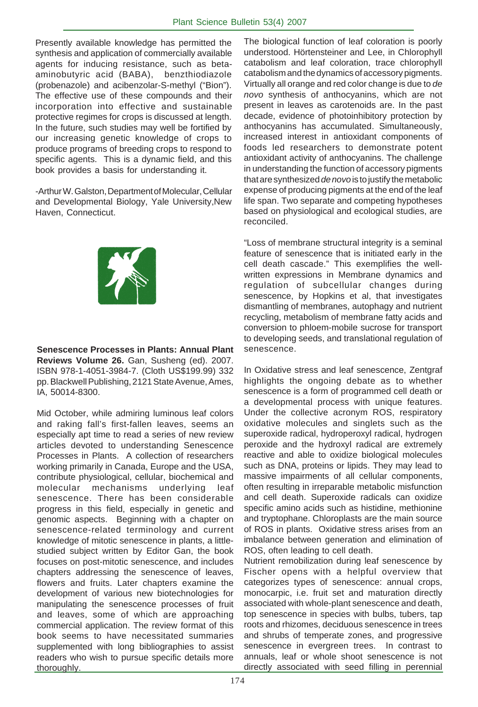Presently available knowledge has permitted the synthesis and application of commercially available agents for inducing resistance, such as betaaminobutyric acid (BABA), benzthiodiazole (probenazole) and acibenzolar-S-methyl ("Bion"). The effective use of these compounds and their incorporation into effective and sustainable protective regimes for crops is discussed at length. In the future, such studies may well be fortified by our increasing genetic knowledge of crops to produce programs of breeding crops to respond to specific agents. This is a dynamic field, and this book provides a basis for understanding it.

-Arthur W. Galston, Department of Molecular, Cellular and Developmental Biology, Yale University,New Haven, Connecticut.



**Senescence Processes in Plants: Annual Plant Reviews Volume 26.** Gan, Susheng (ed). 2007. ISBN 978-1-4051-3984-7. (Cloth US\$199.99) 332 pp. Blackwell Publishing, 2121 State Avenue, Ames, IA, 50014-8300.

Mid October, while admiring luminous leaf colors and raking fall's first-fallen leaves, seems an especially apt time to read a series of new review articles devoted to understanding Senescence Processes in Plants. A collection of researchers working primarily in Canada, Europe and the USA, contribute physiological, cellular, biochemical and molecular mechanisms underlying leaf senescence. There has been considerable progress in this field, especially in genetic and genomic aspects. Beginning with a chapter on senescence-related terminology and current knowledge of mitotic senescence in plants, a littlestudied subject written by Editor Gan, the book focuses on post-mitotic senescence, and includes chapters addressing the senescence of leaves, flowers and fruits. Later chapters examine the development of various new biotechnologies for manipulating the senescence processes of fruit and leaves, some of which are approaching commercial application. The review format of this book seems to have necessitated summaries supplemented with long bibliographies to assist readers who wish to pursue specific details more thoroughly.

The biological function of leaf coloration is poorly understood. Hörtensteiner and Lee, in Chlorophyll catabolism and leaf coloration, trace chlorophyll catabolism and the dynamics of accessory pigments. Virtually all orange and red color change is due to *de novo* synthesis of anthocyanins, which are not present in leaves as carotenoids are. In the past decade, evidence of photoinhibitory protection by anthocyanins has accumulated. Simultaneously, increased interest in antioxidant components of foods led researchers to demonstrate potent antioxidant activity of anthocyanins. The challenge in understanding the function of accessory pigments that are synthesized *de novo* is to justify the metabolic expense of producing pigments at the end of the leaf life span. Two separate and competing hypotheses based on physiological and ecological studies, are reconciled.

"Loss of membrane structural integrity is a seminal feature of senescence that is initiated early in the cell death cascade." This exemplifies the wellwritten expressions in Membrane dynamics and regulation of subcellular changes during senescence, by Hopkins et al, that investigates dismantling of membranes, autophagy and nutrient recycling, metabolism of membrane fatty acids and conversion to phloem-mobile sucrose for transport to developing seeds, and translational regulation of senescence.

In Oxidative stress and leaf senescence, Zentgraf highlights the ongoing debate as to whether senescence is a form of programmed cell death or a developmental process with unique features. Under the collective acronym ROS, respiratory oxidative molecules and singlets such as the superoxide radical, hydroperoxyl radical, hydrogen peroxide and the hydroxyl radical are extremely reactive and able to oxidize biological molecules such as DNA, proteins or lipids. They may lead to massive impairments of all cellular components, often resulting in irreparable metabolic misfunction and cell death. Superoxide radicals can oxidize specific amino acids such as histidine, methionine and tryptophane. Chloroplasts are the main source of ROS in plants. Oxidative stress arises from an imbalance between generation and elimination of ROS, often leading to cell death.

Nutrient remobilization during leaf senescence by Fischer opens with a helpful overview that categorizes types of senescence: annual crops, monocarpic, i.e. fruit set and maturation directly associated with whole-plant senescence and death, top senescence in species with bulbs, tubers, tap roots and rhizomes, deciduous senescence in trees and shrubs of temperate zones, and progressive senescence in evergreen trees. In contrast to annuals, leaf or whole shoot senescence is not directly associated with seed filling in perennial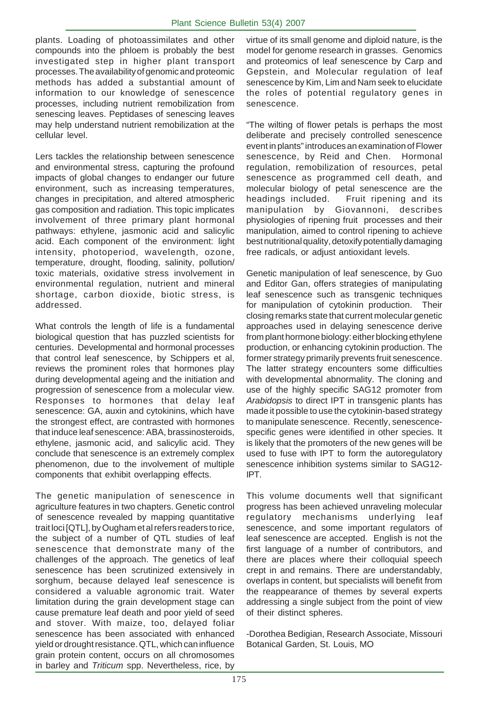plants. Loading of photoassimilates and other compounds into the phloem is probably the best investigated step in higher plant transport processes. The availability of genomic and proteomic methods has added a substantial amount of information to our knowledge of senescence processes, including nutrient remobilization from senescing leaves. Peptidases of senescing leaves may help understand nutrient remobilization at the cellular level.

Lers tackles the relationship between senescence and environmental stress, capturing the profound impacts of global changes to endanger our future environment, such as increasing temperatures, changes in precipitation, and altered atmospheric gas composition and radiation. This topic implicates involvement of three primary plant hormonal pathways: ethylene, jasmonic acid and salicylic acid. Each component of the environment: light intensity, photoperiod, wavelength, ozone, temperature, drought, flooding, salinity, pollution/ toxic materials, oxidative stress involvement in environmental regulation, nutrient and mineral shortage, carbon dioxide, biotic stress, is addressed.

What controls the length of life is a fundamental biological question that has puzzled scientists for centuries. Developmental and hormonal processes that control leaf senescence, by Schippers et al, reviews the prominent roles that hormones play during developmental ageing and the initiation and progression of senescence from a molecular view. Responses to hormones that delay leaf senescence: GA, auxin and cytokinins, which have the strongest effect, are contrasted with hormones that induce leaf senescence: ABA, brassinosteroids, ethylene, jasmonic acid, and salicylic acid. They conclude that senescence is an extremely complex phenomenon, due to the involvement of multiple components that exhibit overlapping effects.

The genetic manipulation of senescence in agriculture features in two chapters. Genetic control of senescence revealed by mapping quantitative trait loci [QTL], by Ougham et al refers readers to rice, the subject of a number of QTL studies of leaf senescence that demonstrate many of the challenges of the approach. The genetics of leaf senescence has been scrutinized extensively in sorghum, because delayed leaf senescence is considered a valuable agronomic trait. Water limitation during the grain development stage can cause premature leaf death and poor yield of seed and stover. With maize, too, delayed foliar senescence has been associated with enhanced yield or drought resistance. QTL, which can influence grain protein content, occurs on all chromosomes in barley and *Triticum* spp. Nevertheless, rice, by virtue of its small genome and diploid nature, is the model for genome research in grasses. Genomics and proteomics of leaf senescence by Carp and Gepstein, and Molecular regulation of leaf senescence by Kim, Lim and Nam seek to elucidate the roles of potential regulatory genes in senescence.

"The wilting of flower petals is perhaps the most deliberate and precisely controlled senescence event in plants" introduces an examination of Flower senescence, by Reid and Chen. Hormonal regulation, remobilization of resources, petal senescence as programmed cell death, and molecular biology of petal senescence are the headings included. Fruit ripening and its manipulation by Giovannoni, describes physiologies of ripening fruit processes and their manipulation, aimed to control ripening to achieve best nutritional quality, detoxify potentially damaging free radicals, or adjust antioxidant levels.

Genetic manipulation of leaf senescence, by Guo and Editor Gan, offers strategies of manipulating leaf senescence such as transgenic techniques for manipulation of cytokinin production. Their closing remarks state that current molecular genetic approaches used in delaying senescence derive from plant hormone biology: either blocking ethylene production, or enhancing cytokinin production. The former strategy primarily prevents fruit senescence. The latter strategy encounters some difficulties with developmental abnormality. The cloning and use of the highly specific SAG12 promoter from *Arabidopsis* to direct IPT in transgenic plants has made it possible to use the cytokinin-based strategy to manipulate senescence. Recently, senescencespecific genes were identified in other species. It is likely that the promoters of the new genes will be used to fuse with IPT to form the autoregulatory senescence inhibition systems similar to SAG12- IPT.

This volume documents well that significant progress has been achieved unraveling molecular regulatory mechanisms underlying leaf senescence, and some important regulators of leaf senescence are accepted. English is not the first language of a number of contributors, and there are places where their colloquial speech crept in and remains. There are understandably, overlaps in content, but specialists will benefit from the reappearance of themes by several experts addressing a single subject from the point of view of their distinct spheres.

-Dorothea Bedigian, Research Associate, Missouri Botanical Garden, St. Louis, MO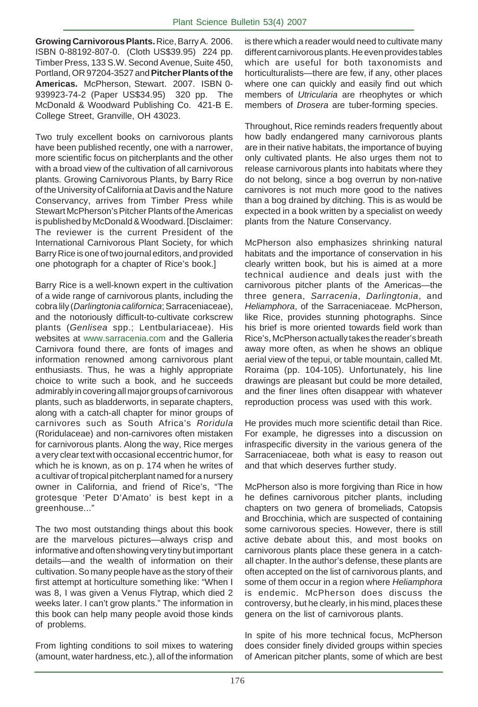**Growing Carnivorous Plants.** Rice, Barry A. 2006. ISBN 0-88192-807-0. (Cloth US\$39.95) 224 pp. Timber Press, 133 S.W. Second Avenue, Suite 450, Portland, OR 97204-3527 and **Pitcher Plants of the Americas.** McPherson, Stewart. 2007. ISBN 0- 939923-74-2 (Paper US\$34.95) 320 pp. The McDonald & Woodward Publishing Co. 421-B E. College Street, Granville, OH 43023.

Two truly excellent books on carnivorous plants have been published recently, one with a narrower, more scientific focus on pitcherplants and the other with a broad view of the cultivation of all carnivorous plants. Growing Carnivorous Plants, by Barry Rice of the University of California at Davis and the Nature Conservancy, arrives from Timber Press while Stewart McPherson's Pitcher Plants of the Americas is published by McDonald & Woodward. [Disclaimer: The reviewer is the current President of the International Carnivorous Plant Society, for which Barry Rice is one of two journal editors, and provided one photograph for a chapter of Rice's book.]

Barry Rice is a well-known expert in the cultivation of a wide range of carnivorous plants, including the cobra lily (*Darlingtonia californica*; Sarraceniaceae), and the notoriously difficult-to-cultivate corkscrew plants (*Genlisea* spp.; Lentbulariaceae). His websites at www.sarracenia.com and the Galleria Carnivora found there, are fonts of images and information renowned among carnivorous plant enthusiasts. Thus, he was a highly appropriate choice to write such a book, and he succeeds admirably in covering all major groups of carnivorous plants, such as bladderworts, in separate chapters, along with a catch-all chapter for minor groups of carnivores such as South Africa's *Roridula* (Roridulaceae) and non-carnivores often mistaken for carnivorous plants. Along the way, Rice merges a very clear text with occasional eccentric humor, for which he is known, as on p. 174 when he writes of a cultivar of tropical pitcherplant named for a nursery owner in California, and friend of Rice's, "The grotesque 'Peter D'Amato' is best kept in a greenhouse..."

The two most outstanding things about this book are the marvelous pictures—always crisp and informative and often showing very tiny but important details—and the wealth of information on their cultivation. So many people have as the story of their first attempt at horticulture something like: "When I was 8, I was given a Venus Flytrap, which died 2 weeks later. I can't grow plants." The information in this book can help many people avoid those kinds of problems.

From lighting conditions to soil mixes to watering (amount, water hardness, etc.), all of the information is there which a reader would need to cultivate many different carnivorous plants. He even provides tables which are useful for both taxonomists and horticulturalists—there are few, if any, other places where one can quickly and easily find out which members of *Utricularia* are rheophytes or which members of *Drosera* are tuber-forming species.

Throughout, Rice reminds readers frequently about how badly endangered many carnivorous plants are in their native habitats, the importance of buying only cultivated plants. He also urges them not to release carnivorous plants into habitats where they do not belong, since a bog overrun by non-native carnivores is not much more good to the natives than a bog drained by ditching. This is as would be expected in a book written by a specialist on weedy plants from the Nature Conservancy.

McPherson also emphasizes shrinking natural habitats and the importance of conservation in his clearly written book, but his is aimed at a more technical audience and deals just with the carnivorous pitcher plants of the Americas—the three genera, *Sarracenia*, *Darlingtonia*, and *Heliamphora*, of the Sarraceniaceae. McPherson, like Rice, provides stunning photographs. Since his brief is more oriented towards field work than Rice's, McPherson actually takes the reader's breath away more often, as when he shows an oblique aerial view of the tepui, or table mountain, called Mt. Roraima (pp. 104-105). Unfortunately, his line drawings are pleasant but could be more detailed, and the finer lines often disappear with whatever reproduction process was used with this work.

He provides much more scientific detail than Rice. For example, he digresses into a discussion on infraspecific diversity in the various genera of the Sarraceniaceae, both what is easy to reason out and that which deserves further study.

McPherson also is more forgiving than Rice in how he defines carnivorous pitcher plants, including chapters on two genera of bromeliads, Catopsis and Brocchinia, which are suspected of containing some carnivorous species. However, there is still active debate about this, and most books on carnivorous plants place these genera in a catchall chapter. In the author's defense, these plants are often accepted on the list of carnivorous plants, and some of them occur in a region where *Heliamphora* is endemic. McPherson does discuss the controversy, but he clearly, in his mind, places these genera on the list of carnivorous plants.

In spite of his more technical focus, McPherson does consider finely divided groups within species of American pitcher plants, some of which are best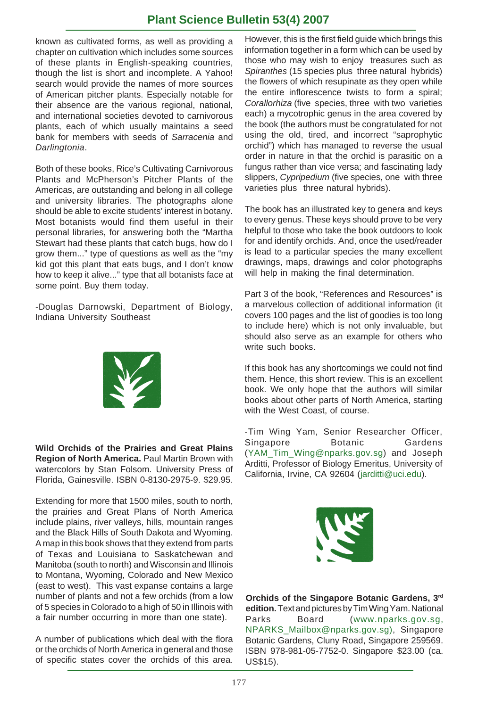known as cultivated forms, as well as providing a chapter on cultivation which includes some sources of these plants in English-speaking countries, though the list is short and incomplete. A Yahoo! search would provide the names of more sources of American pitcher plants. Especially notable for their absence are the various regional, national, and international societies devoted to carnivorous plants, each of which usually maintains a seed bank for members with seeds of *Sarracenia* and *Darlingtonia*.

Both of these books, Rice's Cultivating Carnivorous Plants and McPherson's Pitcher Plants of the Americas, are outstanding and belong in all college and university libraries. The photographs alone should be able to excite students' interest in botany. Most botanists would find them useful in their personal libraries, for answering both the "Martha Stewart had these plants that catch bugs, how do I grow them..." type of questions as well as the "my kid got this plant that eats bugs, and I don't know how to keep it alive..." type that all botanists face at some point. Buy them today.

-Douglas Darnowski, Department of Biology, Indiana University Southeast



**Wild Orchids of the Prairies and Great Plains Region of North America.** Paul Martin Brown with watercolors by Stan Folsom. University Press of Florida, Gainesville. ISBN 0-8130-2975-9. \$29.95.

Extending for more that 1500 miles, south to north, the prairies and Great Plans of North America include plains, river valleys, hills, mountain ranges and the Black Hills of South Dakota and Wyoming. A map in this book shows that they extend from parts of Texas and Louisiana to Saskatchewan and Manitoba (south to north) and Wisconsin and Illinois to Montana, Wyoming, Colorado and New Mexico (east to west). This vast expanse contains a large number of plants and not a few orchids (from a low of 5 species in Colorado to a high of 50 in Illinois with a fair number occurring in more than one state).

A number of publications which deal with the flora or the orchids of North America in general and those of specific states cover the orchids of this area.

However, this is the first field guide which brings this information together in a form which can be used by those who may wish to enjoy treasures such as *Spiranthes* (15 species plus three natural hybrids) the flowers of which resupinate as they open while the entire inflorescence twists to form a spiral; *Corallorhiza* (five species, three with two varieties each) a mycotrophic genus in the area covered by the book (the authors must be congratulated for not using the old, tired, and incorrect "saprophytic orchid") which has managed to reverse the usual order in nature in that the orchid is parasitic on a fungus rather than vice versa; and fascinating lady slippers, *Cypripedium* (five species, one with three varieties plus three natural hybrids).

The book has an illustrated key to genera and keys to every genus. These keys should prove to be very helpful to those who take the book outdoors to look for and identify orchids. And, once the used/reader is lead to a particular species the many excellent drawings, maps, drawings and color photographs will help in making the final determination.

Part 3 of the book, "References and Resources" is a marvelous collection of additional information (it covers 100 pages and the list of goodies is too long to include here) which is not only invaluable, but should also serve as an example for others who write such books.

If this book has any shortcomings we could not find them. Hence, this short review. This is an excellent book. We only hope that the authors will similar books about other parts of North America, starting with the West Coast, of course.

-Tim Wing Yam, Senior Researcher Officer, Singapore Botanic Gardens (YAM\_Tim\_Wing@nparks.gov.sg) and Joseph Arditti, Professor of Biology Emeritus, University of California, Irvine, CA 92604 (jarditti@uci.edu).



**Orchids of the Singapore Botanic Gardens, 3rd edition.**Text and pictures by Tim Wing Yam. National Parks Board (www.nparks.gov.sg, NPARKS\_Mailbox@nparks.gov.sg), Singapore Botanic Gardens, Cluny Road, Singapore 259569. ISBN 978-981-05-7752-0. Singapore \$23.00 (ca. US\$15).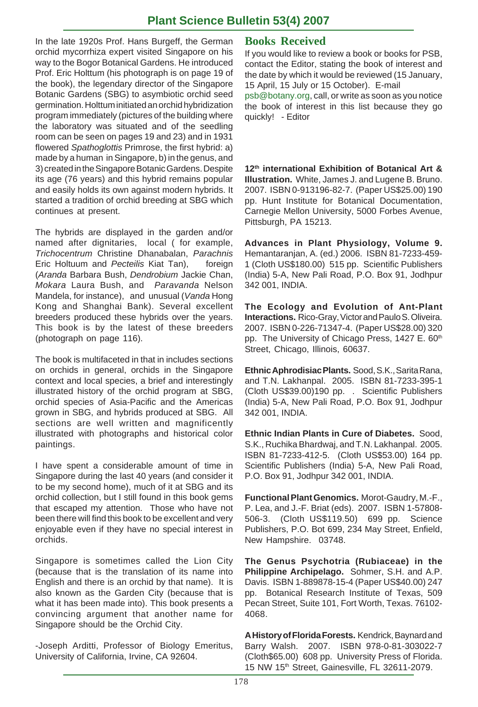In the late 1920s Prof. Hans Burgeff, the German orchid mycorrhiza expert visited Singapore on his way to the Bogor Botanical Gardens. He introduced Prof. Eric Holttum (his photograph is on page 19 of the book), the legendary director of the Singapore Botanic Gardens (SBG) to asymbiotic orchid seed germination. Holttum initiated an orchid hybridization program immediately (pictures of the building where the laboratory was situated and of the seedling room can be seen on pages 19 and 23) and in 1931 flowered *Spathoglottis* Primrose, the first hybrid: a) made by a human in Singapore, b) in the genus, and 3) created in the Singapore Botanic Gardens. Despite its age (76 years) and this hybrid remains popular and easily holds its own against modern hybrids. It started a tradition of orchid breeding at SBG which continues at present.

The hybrids are displayed in the garden and/or named after dignitaries, local ( for example, *Trichocentrum* Christine Dhanabalan, *Parachnis* Eric Holtuum and *Pecteilis* Kiat Tan), foreign (*Aranda* Barbara Bush, *Dendrobium* Jackie Chan, *Mokara* Laura Bush, and *Paravanda* Nelson Mandela, for instance), and unusual (*Vanda* Hong Kong and Shanghai Bank). Several excellent breeders produced these hybrids over the years. This book is by the latest of these breeders (photograph on page 116).

The book is multifaceted in that in includes sections on orchids in general, orchids in the Singapore context and local species, a brief and interestingly illustrated history of the orchid program at SBG, orchid species of Asia-Pacific and the Americas grown in SBG, and hybrids produced at SBG. All sections are well written and magnificently illustrated with photographs and historical color paintings.

I have spent a considerable amount of time in Singapore during the last 40 years (and consider it to be my second home), much of it at SBG and its orchid collection, but I still found in this book gems that escaped my attention. Those who have not been there will find this book to be excellent and very enjoyable even if they have no special interest in orchids.

Singapore is sometimes called the Lion City (because that is the translation of its name into English and there is an orchid by that name). It is also known as the Garden City (because that is what it has been made into). This book presents a convincing argument that another name for Singapore should be the Orchid City.

-Joseph Arditti, Professor of Biology Emeritus, University of California, Irvine, CA 92604.

### **Books Received**

If you would like to review a book or books for PSB, contact the Editor, stating the book of interest and the date by which it would be reviewed (15 January, 15 April, 15 July or 15 October). E-mail

psb@botany.org, call, or write as soon as you notice the book of interest in this list because they go quickly! - Editor

**12th international Exhibition of Botanical Art & Illustration.** White, James J. and Lugene B. Bruno. 2007. ISBN 0-913196-82-7. (Paper US\$25.00) 190 pp. Hunt Institute for Botanical Documentation, Carnegie Mellon University, 5000 Forbes Avenue, Pittsburgh, PA 15213.

**Advances in Plant Physiology, Volume 9.** Hemantaranjan, A. (ed.) 2006. ISBN 81-7233-459- 1 (Cloth US\$180.00) 515 pp. Scientific Publishers (India) 5-A, New Pali Road, P.O. Box 91, Jodhpur 342 001, INDIA.

**The Ecology and Evolution of Ant-Plant Interactions.** Rico-Gray, Victor and Paulo S. Oliveira. 2007. ISBN 0-226-71347-4. (Paper US\$28.00) 320 pp. The University of Chicago Press, 1427 E. 60<sup>th</sup> Street, Chicago, Illinois, 60637.

**Ethnic Aphrodisiac Plants.** Sood, S.K., Sarita Rana, and T.N. Lakhanpal. 2005. ISBN 81-7233-395-1 (Cloth US\$39.00)190 pp. . Scientific Publishers (India) 5-A, New Pali Road, P.O. Box 91, Jodhpur 342 001, INDIA.

**Ethnic Indian Plants in Cure of Diabetes.** Sood, S.K., Ruchika Bhardwaj, and T.N. Lakhanpal. 2005. ISBN 81-7233-412-5. (Cloth US\$53.00) 164 pp. Scientific Publishers (India) 5-A, New Pali Road, P.O. Box 91, Jodhpur 342 001, INDIA.

**Functional Plant Genomics.** Morot-Gaudry, M.-F., P. Lea, and J.-F. Briat (eds). 2007. ISBN 1-57808- 506-3. (Cloth US\$119.50) 699 pp. Science Publishers, P.O. Bot 699, 234 May Street, Enfield, New Hampshire. 03748.

**The Genus Psychotria (Rubiaceae) in the Philippine Archipelago.** Sohmer, S.H. and A.P. Davis. ISBN 1-889878-15-4 (Paper US\$40.00) 247 pp. Botanical Research Institute of Texas, 509 Pecan Street, Suite 101, Fort Worth, Texas. 76102- 4068.

**A History of Florida Forests.** Kendrick, Baynard and Barry Walsh. 2007. ISBN 978-0-81-303022-7 (Cloth\$65.00) 608 pp. University Press of Florida. 15 NW 15<sup>th</sup> Street, Gainesville, FL 32611-2079.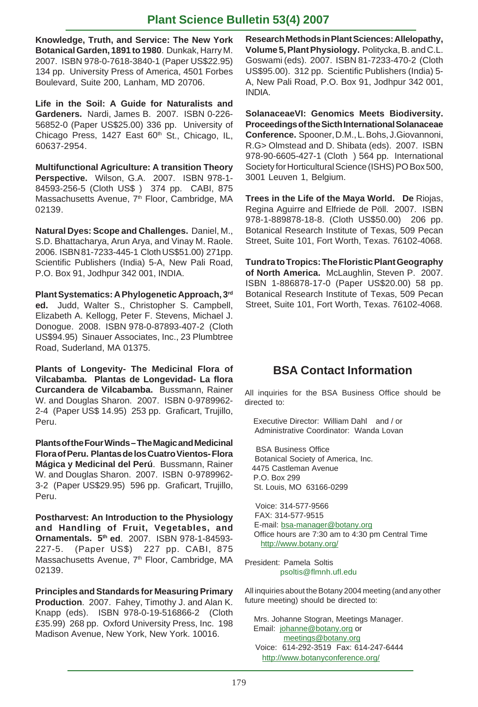**Knowledge, Truth, and Service: The New York Botanical Garden, 1891 to 1980**. Dunkak, Harry M. 2007. ISBN 978-0-7618-3840-1 (Paper US\$22.95) 134 pp. University Press of America, 4501 Forbes Boulevard, Suite 200, Lanham, MD 20706.

**Life in the Soil: A Guide for Naturalists and Gardeners.** Nardi, James B. 2007. ISBN 0-226- 56852-0 (Paper US\$25.00) 336 pp. University of Chicago Press, 1427 East 60<sup>th</sup> St., Chicago, IL, 60637-2954.

**Multifunctional Agriculture: A transition Theory Perspective.** Wilson, G.A. 2007. ISBN 978-1- 84593-256-5 (Cloth US\$ ) 374 pp. CABI, 875 Massachusetts Avenue, 7<sup>th</sup> Floor, Cambridge, MA 02139.

**Natural Dyes: Scope and Challenges.** Daniel, M., S.D. Bhattacharya, Arun Arya, and Vinay M. Raole. 2006. ISBN 81-7233-445-1 Cloth US\$51.00) 271pp. Scientific Publishers (India) 5-A, New Pali Road, P.O. Box 91, Jodhpur 342 001, INDIA.

**Plant Systematics: A Phylogenetic Approach, 3rd ed.** Judd, Walter S., Christopher S. Campbell, Elizabeth A. Kellogg, Peter F. Stevens, Michael J. Donogue. 2008. ISBN 978-0-87893-407-2 (Cloth US\$94.95) Sinauer Associates, Inc., 23 Plumbtree Road, Suderland, MA 01375.

**Plants of Longevity- The Medicinal Flora of Vilcabamba. Plantas de Longevidad- La flora Curcandera de Vilcabamba.** Bussmann, Rainer W. and Douglas Sharon. 2007. ISBN 0-9789962- 2-4 (Paper US\$ 14.95) 253 pp. Graficart, Trujillo, Peru.

**Plants of the Four Winds – The Magic and Medicinal Flora of Peru. Plantas de los Cuatro Vientos- Flora Mágica y Medicinal del Perú**.Bussmann, Rainer W. and Douglas Sharon. 2007. ISBN 0-9789962- 3-2 (Paper US\$29.95) 596 pp. Graficart, Trujillo, Peru.

**Postharvest: An Introduction to the Physiology and Handling of Fruit, Vegetables, and Ornamentals. 5th ed**. 2007. ISBN 978-1-84593- 227-5. (Paper US\$) 227 pp. CABI, 875 Massachusetts Avenue, 7<sup>th</sup> Floor, Cambridge, MA 02139.

**Principles and Standards for Measuring Primary Production**. 2007. Fahey, Timothy J. and Alan K. Knapp (eds). ISBN 978-0-19-516866-2 (Cloth £35.99) 268 pp. Oxford University Press, Inc. 198 Madison Avenue, New York, New York. 10016.

**Research Methods in Plant Sciences: Allelopathy, Volume 5, Plant Physiology.** Politycka, B. and C.L. Goswami (eds). 2007. ISBN 81-7233-470-2 (Cloth US\$95.00). 312 pp. Scientific Publishers (India) 5- A, New Pali Road, P.O. Box 91, Jodhpur 342 001, INDIA.

**SolanaceaeVI: Genomics Meets Biodiversity. Proceedings of the Sicth International Solanaceae Conference.** Spooner, D.M., L. Bohs, J.Giovannoni, R.G> Olmstead and D. Shibata (eds). 2007. ISBN 978-90-6605-427-1 (Cloth ) 564 pp. International Society for Horticultural Science (ISHS) PO Box 500, 3001 Leuven 1, Belgium.

**Trees in the Life of the Maya World. De** Riojas, Regina Aguirre and Elfriede de Pöll. 2007. ISBN 978-1-889878-18-8. (Cloth US\$50.00) 206 pp. Botanical Research Institute of Texas, 509 Pecan Street, Suite 101, Fort Worth, Texas. 76102-4068.

**Tundra to Tropics: The Floristic Plant Geography of North America.** McLaughlin, Steven P. 2007. ISBN 1-886878-17-0 (Paper US\$20.00) 58 pp. Botanical Research Institute of Texas, 509 Pecan Street, Suite 101, Fort Worth, Texas. 76102-4068.

# **BSA Contact Information**

All inquiries for the BSA Business Office should be directed to:

 Executive Director: William Dahl and / or Administrative Coordinator: Wanda Lovan

 BSA Business Office Botanical Society of America, Inc. 4475 Castleman Avenue P.O. Box 299 St. Louis, MO 63166-0299

 Voice: 314-577-9566 FAX: 314-577-9515 E-mail: bsa-manager@botany.org Office hours are 7:30 am to 4:30 pm Central Time http://www.botany.org/

President: Pamela Soltis psoltis@flmnh.ufl.edu

All inquiries about the Botany 2004 meeting (and any other future meeting) should be directed to:

 Mrs. Johanne Stogran, Meetings Manager. Email: johanne@botany.org or meetings@botany.org Voice: 614-292-3519 Fax: 614-247-6444 http://www.botanyconference.org/